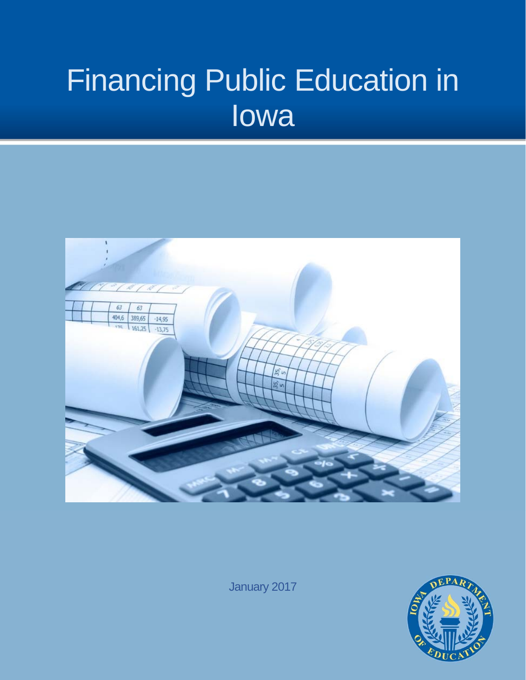# Financing Public Education in Iowa



January 2017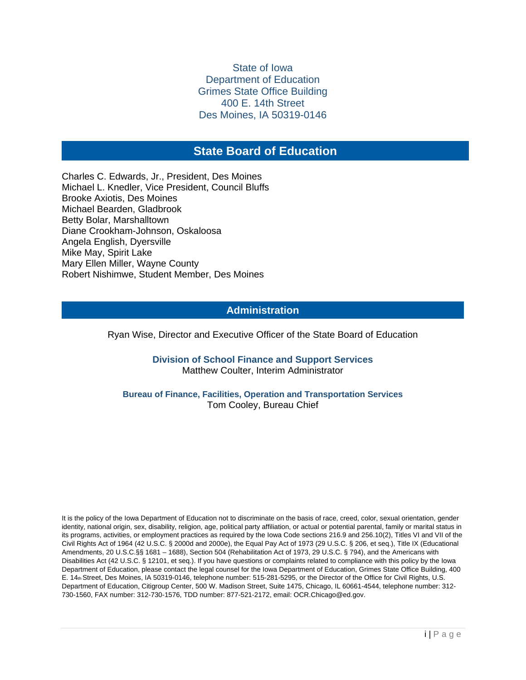#### State of Iowa Department of Education Grimes State Office Building 400 E. 14th Street Des Moines, IA 50319-0146

# **State Board of Education**

**STATE BOARD OF EDUCATION** Michael L. Knedler, Vice President, Council Bluffs<br>Brooke Axiotis, Des Moines Charles C. Edwards, Jr., President, Des Moines Michael Bearden, Gladbrook Betty Bolar, Marshalltown Diane Crookham-Johnson, Oskaloosa Angela English, Dyersville Mike May, Spirit Lake Mary Ellen Miller, Wayne County Robert Nishimwe, Student Member, Des Moines

#### **Administration**

Ryan Wise, Director and Executive Officer of the State Board of Education

#### **Division of School Finance and Support Services**  Matthew Coulter, Interim Administrator

**Bureau of Finance, Facilities, Operation and Transportation Services**  Tom Cooley, Bureau Chief

It is the policy of the Iowa Department of Education not to discriminate on the basis of race, creed, color, sexual orientation, gender identity, national origin, sex, disability, religion, age, political party affiliation, or actual or potential parental, family or marital status in its programs, activities, or employment practices as required by the Iowa Code sections 216.9 and 256.10(2), Titles VI and VII of the Civil Rights Act of 1964 (42 U.S.C. § 2000d and 2000e), the Equal Pay Act of 1973 (29 U.S.C. § 206, et seq.), Title IX (Educational Amendments, 20 U.S.C.§§ 1681 – 1688), Section 504 (Rehabilitation Act of 1973, 29 U.S.C. § 794), and the Americans with Disabilities Act (42 U.S.C. § 12101, et seq.). If you have questions or complaints related to compliance with this policy by the Iowa Department of Education, please contact the legal counsel for the Iowa Department of Education, Grimes State Office Building, 400 E. 14th Street, Des Moines, IA 50319-0146, telephone number: 515-281-5295, or the Director of the Office for Civil Rights, U.S. Department of Education, Citigroup Center, 500 W. Madison Street, Suite 1475, Chicago, IL 60661-4544, telephone number: 312- 730-1560, FAX number: 312-730-1576, TDD number: 877-521-2172, email: OCR.Chicago@ed.gov.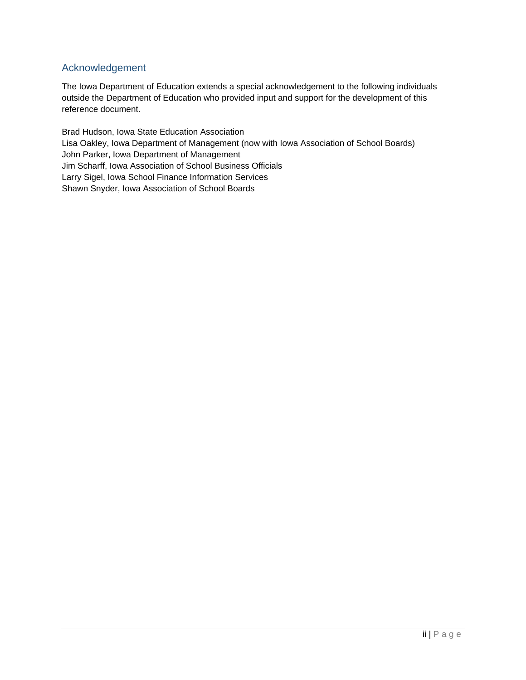# Acknowledgement

The Iowa Department of Education extends a special acknowledgement to the following individuals outside the Department of Education who provided input and support for the development of this reference document.

Brad Hudson, Iowa State Education Association Lisa Oakley, Iowa Department of Management (now with Iowa Association of School Boards) John Parker, Iowa Department of Management Jim Scharff, Iowa Association of School Business Officials Larry Sigel, Iowa School Finance Information Services Shawn Snyder, Iowa Association of School Boards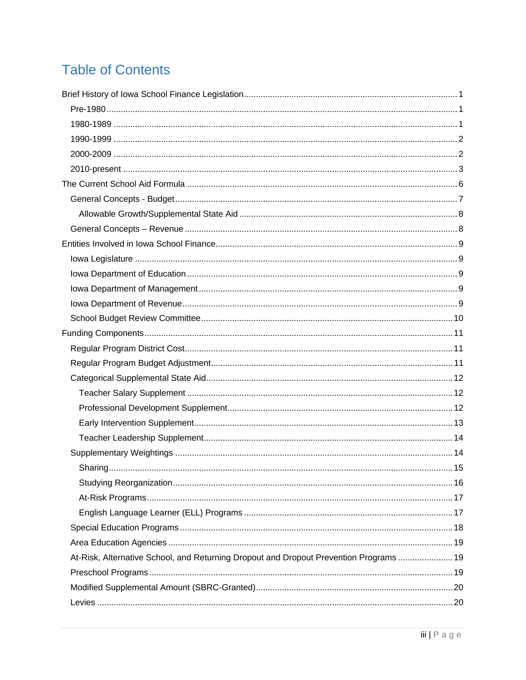# **Table of Contents**

| At-Risk, Alternative School, and Returning Dropout and Dropout Prevention Programs  19 |  |
|----------------------------------------------------------------------------------------|--|
|                                                                                        |  |
|                                                                                        |  |
|                                                                                        |  |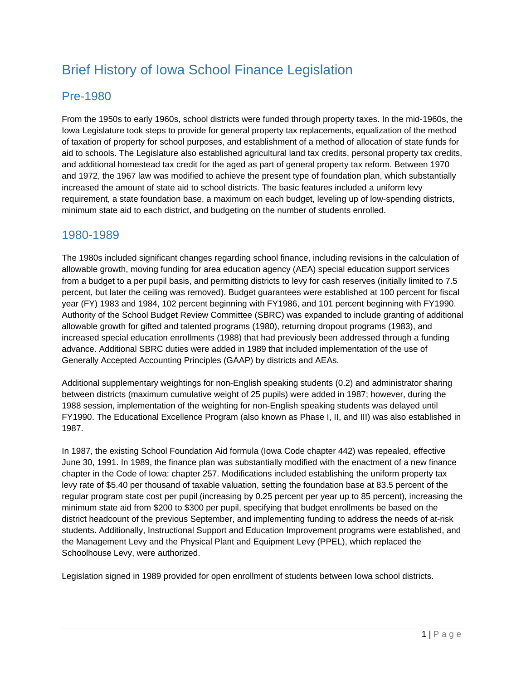# Brief History of Iowa School Finance Legislation

# Pre-1980

From the 1950s to early 1960s, school districts were funded through property taxes. In the mid-1960s, the Iowa Legislature took steps to provide for general property tax replacements, equalization of the method of taxation of property for school purposes, and establishment of a method of allocation of state funds for aid to schools. The Legislature also established agricultural land tax credits, personal property tax credits, and additional homestead tax credit for the aged as part of general property tax reform. Between 1970 and 1972, the 1967 law was modified to achieve the present type of foundation plan, which substantially increased the amount of state aid to school districts. The basic features included a uniform levy requirement, a state foundation base, a maximum on each budget, leveling up of low-spending districts, minimum state aid to each district, and budgeting on the number of students enrolled.

# 1980-1989

Generally Accepted Accounting Principles (GAAP) by districts and AEAs. The 1980s included significant changes regarding school finance, including revisions in the calculation of allowable growth, moving funding for area education agency (AEA) special education support services from a budget to a per pupil basis, and permitting districts to levy for cash reserves (initially limited to 7.5 percent, but later the ceiling was removed). Budget guarantees were established at 100 percent for fiscal year (FY) 1983 and 1984, 102 percent beginning with FY1986, and 101 percent beginning with FY1990. Authority of the School Budget Review Committee (SBRC) was expanded to include granting of additional allowable growth for gifted and talented programs (1980), returning dropout programs (1983), and increased special education enrollments (1988) that had previously been addressed through a funding advance. Additional SBRC duties were added in 1989 that included implementation of the use of

Additional supplementary weightings for non-English speaking students (0.2) and administrator sharing between districts (maximum cumulative weight of 25 pupils) were added in 1987; however, during the 1988 session, implementation of the weighting for non-English speaking students was delayed until FY1990. The Educational Excellence Program (also known as Phase I, II, and III) was also established in 1987.

In 1987, the existing School Foundation Aid formula (Iowa Code chapter 442) was repealed, effective June 30, 1991. In 1989, the finance plan was substantially modified with the enactment of a new finance chapter in the Code of Iowa: chapter 257. Modifications included establishing the uniform property tax levy rate of \$5.40 per thousand of taxable valuation, setting the foundation base at 83.5 percent of the regular program state cost per pupil (increasing by 0.25 percent per year up to 85 percent), increasing the minimum state aid from \$200 to \$300 per pupil, specifying that budget enrollments be based on the district headcount of the previous September, and implementing funding to address the needs of at-risk students. Additionally, Instructional Support and Education Improvement programs were established, and the Management Levy and the Physical Plant and Equipment Levy (PPEL), which replaced the Schoolhouse Levy, were authorized.

Legislation signed in 1989 provided for open enrollment of students between Iowa school districts.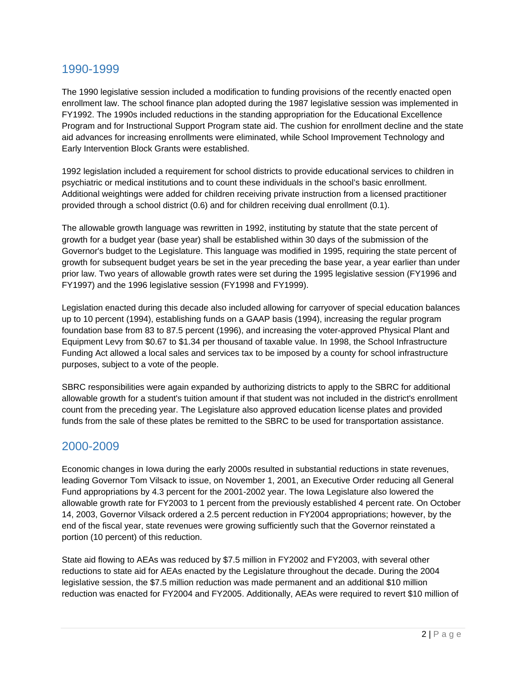# 1990-1999

The 1990 legislative session included a modification to funding provisions of the recently enacted open enrollment law. The school finance plan adopted during the 1987 legislative session was implemented in FY1992. The 1990s included reductions in the standing appropriation for the Educational Excellence Program and for Instructional Support Program state aid. The cushion for enrollment decline and the state aid advances for increasing enrollments were eliminated, while School Improvement Technology and Early Intervention Block Grants were established.

1992 legislation included a requirement for school districts to provide educational services to children in psychiatric or medical institutions and to count these individuals in the school's basic enrollment. Additional weightings were added for children receiving private instruction from a licensed practitioner provided through a school district (0.6) and for children receiving dual enrollment (0.1).

The allowable growth language was rewritten in 1992, instituting by statute that the state percent of growth for a budget year (base year) shall be established within 30 days of the submission of the Governor's budget to the Legislature. This language was modified in 1995, requiring the state percent of growth for subsequent budget years be set in the year preceding the base year, a year earlier than under prior law. Two years of allowable growth rates were set during the 1995 legislative session (FY1996 and FY1997) and the 1996 legislative session (FY1998 and FY1999).

Legislation enacted during this decade also included allowing for carryover of special education balances up to 10 percent (1994), establishing funds on a GAAP basis (1994), increasing the regular program foundation base from 83 to 87.5 percent (1996), and increasing the voter-approved Physical Plant and Equipment Levy from \$0.67 to \$1.34 per thousand of taxable value. In 1998, the School Infrastructure Funding Act allowed a local sales and services tax to be imposed by a county for school infrastructure purposes, subject to a vote of the people.

SBRC responsibilities were again expanded by authorizing districts to apply to the SBRC for additional allowable growth for a student's tuition amount if that student was not included in the district's enrollment count from the preceding year. The Legislature also approved education license plates and provided funds from the sale of these plates be remitted to the SBRC to be used for transportation assistance.

# 2000-2009

Economic changes in Iowa during the early 2000s resulted in substantial reductions in state revenues, leading Governor Tom Vilsack to issue, on November 1, 2001, an Executive Order reducing all General Fund appropriations by 4.3 percent for the 2001-2002 year. The Iowa Legislature also lowered the allowable growth rate for FY2003 to 1 percent from the previously established 4 percent rate. On October 14, 2003, Governor Vilsack ordered a 2.5 percent reduction in FY2004 appropriations; however, by the end of the fiscal year, state revenues were growing sufficiently such that the Governor reinstated a portion (10 percent) of this reduction.

State aid flowing to AEAs was reduced by \$7.5 million in FY2002 and FY2003, with several other reductions to state aid for AEAs enacted by the Legislature throughout the decade. During the 2004 legislative session, the \$7.5 million reduction was made permanent and an additional \$10 million reduction was enacted for FY2004 and FY2005. Additionally, AEAs were required to revert \$10 million of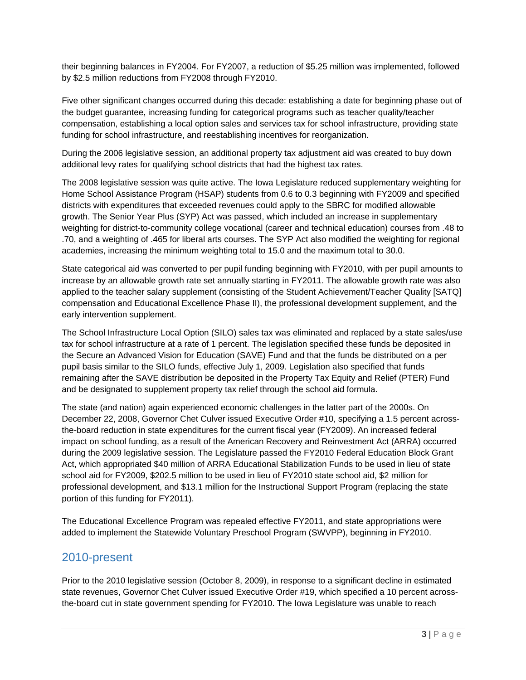their beginning balances in FY2004. For FY2007, a reduction of \$5.25 million was implemented, followed by \$2.5 million reductions from FY2008 through FY2010.

Five other significant changes occurred during this decade: establishing a date for beginning phase out of the budget guarantee, increasing funding for categorical programs such as teacher quality/teacher compensation, establishing a local option sales and services tax for school infrastructure, providing state funding for school infrastructure, and reestablishing incentives for reorganization.

During the 2006 legislative session, an additional property tax adjustment aid was created to buy down additional levy rates for qualifying school districts that had the highest tax rates.

The 2008 legislative session was quite active. The Iowa Legislature reduced supplementary weighting for Home School Assistance Program (HSAP) students from 0.6 to 0.3 beginning with FY2009 and specified districts with expenditures that exceeded revenues could apply to the SBRC for modified allowable growth. The Senior Year Plus (SYP) Act was passed, which included an increase in supplementary weighting for district-to-community college vocational (career and technical education) courses from .48 to .70, and a weighting of .465 for liberal arts courses. The SYP Act also modified the weighting for regional academies, increasing the minimum weighting total to 15.0 and the maximum total to 30.0.

State categorical aid was converted to per pupil funding beginning with FY2010, with per pupil amounts to increase by an allowable growth rate set annually starting in FY2011. The allowable growth rate was also applied to the teacher salary supplement (consisting of the Student Achievement/Teacher Quality [SATQ] compensation and Educational Excellence Phase II), the professional development supplement, and the early intervention supplement.

The School Infrastructure Local Option (SILO) sales tax was eliminated and replaced by a state sales/use tax for school infrastructure at a rate of 1 percent. The legislation specified these funds be deposited in the Secure an Advanced Vision for Education (SAVE) Fund and that the funds be distributed on a per pupil basis similar to the SILO funds, effective July 1, 2009. Legislation also specified that funds remaining after the SAVE distribution be deposited in the Property Tax Equity and Relief (PTER) Fund and be designated to supplement property tax relief through the school aid formula.

The state (and nation) again experienced economic challenges in the latter part of the 2000s. On December 22, 2008, Governor Chet Culver issued Executive Order #10, specifying a 1.5 percent acrossthe-board reduction in state expenditures for the current fiscal year (FY2009). An increased federal impact on school funding, as a result of the American Recovery and Reinvestment Act (ARRA) occurred during the 2009 legislative session. The Legislature passed the FY2010 Federal Education Block Grant Act, which appropriated \$40 million of ARRA Educational Stabilization Funds to be used in lieu of state school aid for FY2009, \$202.5 million to be used in lieu of FY2010 state school aid, \$2 million for professional development, and \$13.1 million for the Instructional Support Program (replacing the state portion of this funding for FY2011).

The Educational Excellence Program was repealed effective FY2011, and state appropriations were added to implement the Statewide Voluntary Preschool Program (SWVPP), beginning in FY2010.

# 2010-present

Prior to the 2010 legislative session (October 8, 2009), in response to a significant decline in estimated state revenues, Governor Chet Culver issued Executive Order #19, which specified a 10 percent acrossthe-board cut in state government spending for FY2010. The Iowa Legislature was unable to reach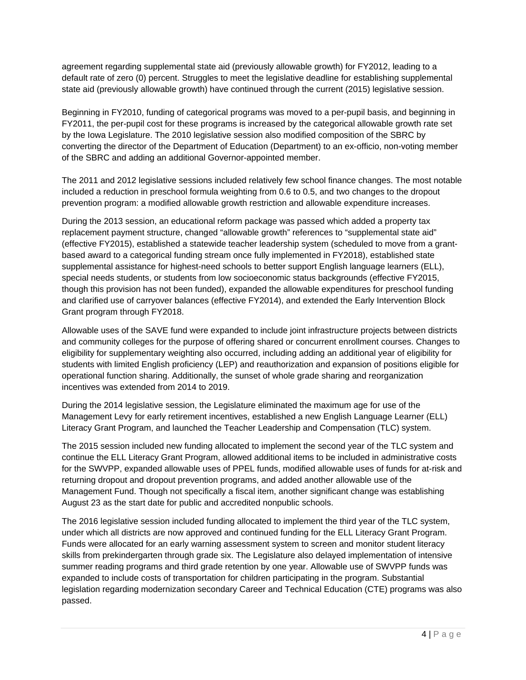agreement regarding supplemental state aid (previously allowable growth) for FY2012, leading to a default rate of zero (0) percent. Struggles to meet the legislative deadline for establishing supplemental state aid (previously allowable growth) have continued through the current (2015) legislative session.

Beginning in FY2010, funding of categorical programs was moved to a per-pupil basis, and beginning in FY2011, the per-pupil cost for these programs is increased by the categorical allowable growth rate set by the Iowa Legislature. The 2010 legislative session also modified composition of the SBRC by converting the director of the Department of Education (Department) to an ex-officio, non-voting member of the SBRC and adding an additional Governor-appointed member.

The 2011 and 2012 legislative sessions included relatively few school finance changes. The most notable included a reduction in preschool formula weighting from 0.6 to 0.5, and two changes to the dropout prevention program: a modified allowable growth restriction and allowable expenditure increases.

During the 2013 session, an educational reform package was passed which added a property tax replacement payment structure, changed "allowable growth" references to "supplemental state aid" (effective FY2015), established a statewide teacher leadership system (scheduled to move from a grantbased award to a categorical funding stream once fully implemented in FY2018), established state supplemental assistance for highest-need schools to better support English language learners (ELL), special needs students, or students from low socioeconomic status backgrounds (effective FY2015, though this provision has not been funded), expanded the allowable expenditures for preschool funding and clarified use of carryover balances (effective FY2014), and extended the Early Intervention Block Grant program through FY2018.

Allowable uses of the SAVE fund were expanded to include joint infrastructure projects between districts and community colleges for the purpose of offering shared or concurrent enrollment courses. Changes to eligibility for supplementary weighting also occurred, including adding an additional year of eligibility for students with limited English proficiency (LEP) and reauthorization and expansion of positions eligible for operational function sharing. Additionally, the sunset of whole grade sharing and reorganization incentives was extended from 2014 to 2019.

During the 2014 legislative session, the Legislature eliminated the maximum age for use of the Management Levy for early retirement incentives, established a new English Language Learner (ELL) Literacy Grant Program, and launched the Teacher Leadership and Compensation (TLC) system.

The 2015 session included new funding allocated to implement the second year of the TLC system and continue the ELL Literacy Grant Program, allowed additional items to be included in administrative costs for the SWVPP, expanded allowable uses of PPEL funds, modified allowable uses of funds for at-risk and returning dropout and dropout prevention programs, and added another allowable use of the Management Fund. Though not specifically a fiscal item, another significant change was establishing August 23 as the start date for public and accredited nonpublic schools.

The 2016 legislative session included funding allocated to implement the third year of the TLC system, under which all districts are now approved and continued funding for the ELL Literacy Grant Program. Funds were allocated for an early warning assessment system to screen and monitor student literacy skills from prekindergarten through grade six. The Legislature also delayed implementation of intensive summer reading programs and third grade retention by one year. Allowable use of SWVPP funds was expanded to include costs of transportation for children participating in the program. Substantial legislation regarding modernization secondary Career and Technical Education (CTE) programs was also passed.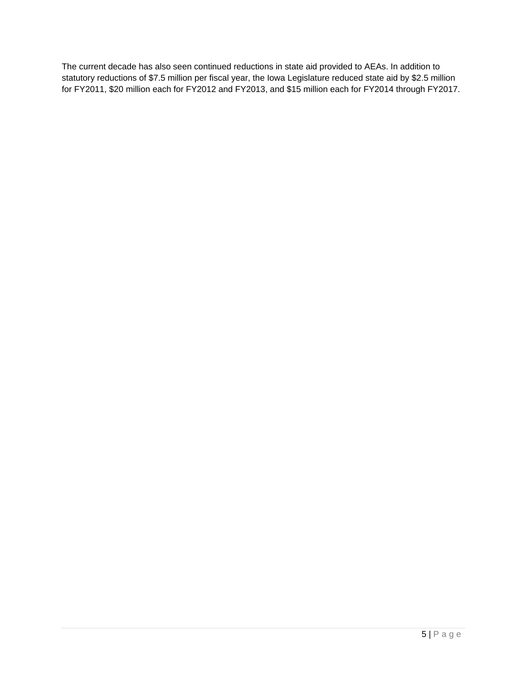The current decade has also seen continued reductions in state aid provided to AEAs. In addition to statutory reductions of \$7.5 million per fiscal year, the Iowa Legislature reduced state aid by \$2.5 million for FY2011, \$20 million each for FY2012 and FY2013, and \$15 million each for FY2014 through FY2017.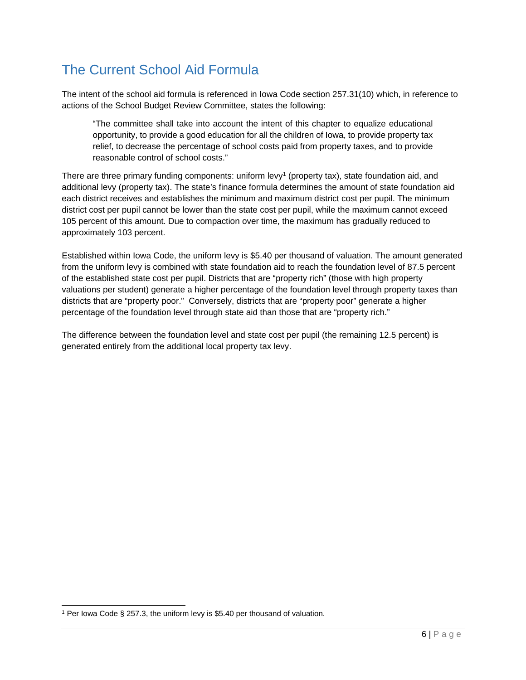# The Current School Aid Formula

The intent of the school aid formula is referenced in Iowa Code section 257.31(10) which, in reference to actions of the School Budget Review Committee, states the following:

"The committee shall take into account the intent of this chapter to equalize educational opportunity, to provide a good education for all the children of Iowa, to provide property tax relief, to decrease the percentage of school costs paid from property taxes, and to provide reasonable control of school costs."

There are three primary funding components: uniform  $levy<sup>1</sup>$  (property tax), state foundation aid, and additional levy (property tax). The state's finance formula determines the amount of state foundation aid each district receives and establishes the minimum and maximum district cost per pupil. The minimum district cost per pupil cannot be lower than the state cost per pupil, while the maximum cannot exceed 105 percent of this amount. Due to compaction over time, the maximum has gradually reduced to approximately 103 percent.

Established within Iowa Code, the uniform levy is \$5.40 per thousand of valuation. The amount generated from the uniform levy is combined with state foundation aid to reach the foundation level of 87.5 percent of the established state cost per pupil. Districts that are "property rich" (those with high property valuations per student) generate a higher percentage of the foundation level through property taxes than districts that are "property poor." Conversely, districts that are "property poor" generate a higher percentage of the foundation level through state aid than those that are "property rich."

The difference between the foundation level and state cost per pupil (the remaining 12.5 percent) is generated entirely from the additional local property tax levy.

l 1 Per Iowa Code § 257.3, the uniform levy is \$5.40 per thousand of valuation.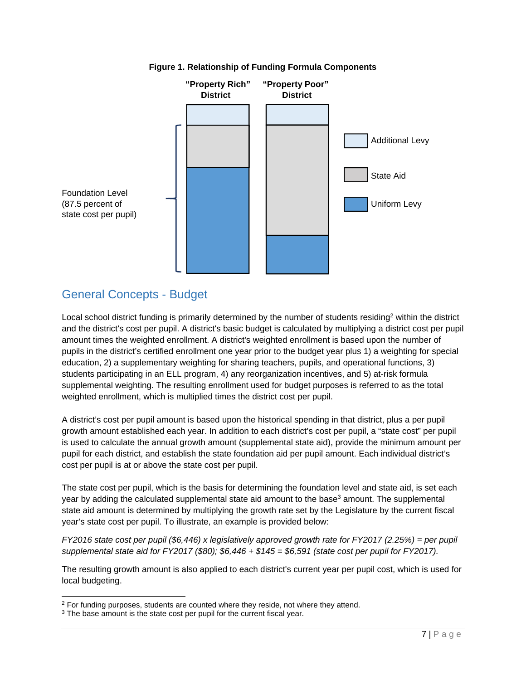

#### **Figure 1. Relationship of Funding Formula Components**

# General Concepts - Budget

Local school district funding is primarily determined by the number of students residing<sup>2</sup> within the district and the district's cost per pupil. A district's basic budget is calculated by multiplying a district cost per pupil amount times the weighted enrollment. A district's weighted enrollment is based upon the number of pupils in the district's certified enrollment one year prior to the budget year plus 1) a weighting for special education, 2) a supplementary weighting for sharing teachers, pupils, and operational functions, 3) students participating in an ELL program, 4) any reorganization incentives, and 5) at-risk formula supplemental weighting. The resulting enrollment used for budget purposes is referred to as the total weighted enrollment, which is multiplied times the district cost per pupil.

A district's cost per pupil amount is based upon the historical spending in that district, plus a per pupil growth amount established each year. In addition to each district's cost per pupil, a "state cost" per pupil is used to calculate the annual growth amount (supplemental state aid), provide the minimum amount per pupil for each district, and establish the state foundation aid per pupil amount. Each individual district's cost per pupil is at or above the state cost per pupil.

The state cost per pupil, which is the basis for determining the foundation level and state aid, is set each year by adding the calculated supplemental state aid amount to the base<sup>3</sup> amount. The supplemental state aid amount is determined by multiplying the growth rate set by the Legislature by the current fiscal year's state cost per pupil. To illustrate, an example is provided below:

*FY2016 state cost per pupil (\$6,446) x legislatively approved growth rate for FY2017 (2.25%) = per pupil supplemental state aid for FY2017 (\$80); \$6,446 + \$145 = \$6,591 (state cost per pupil for FY2017).* 

The resulting growth amount is also applied to each district's current year per pupil cost, which is used for local budgeting.

-

 $2$  For funding purposes, students are counted where they reside, not where they attend.  $3$  The base amount is the state cost per pupil for the current fiscal year.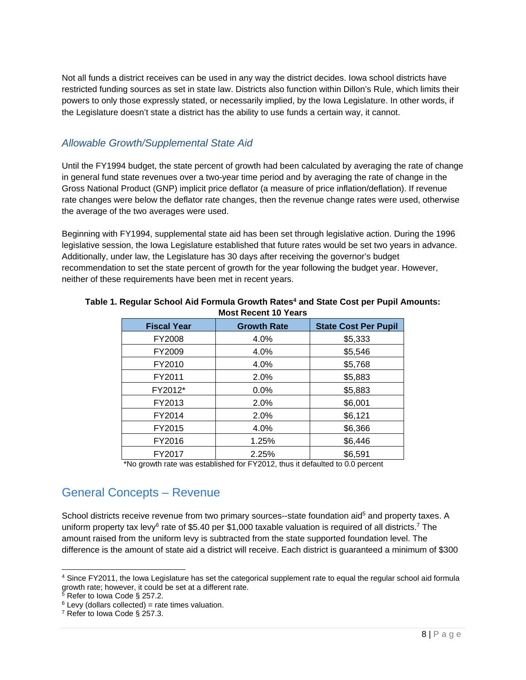Not all funds a district receives can be used in any way the district decides. Iowa school districts have restricted funding sources as set in state law. Districts also function within Dillon's Rule, which limits their powers to only those expressly stated, or necessarily implied, by the Iowa Legislature. In other words, if the Legislature doesn't state a district has the ability to use funds a certain way, it cannot.

### *Allowable Growth/Supplemental State Aid*

Until the FY1994 budget, the state percent of growth had been calculated by averaging the rate of change in general fund state revenues over a two-year time period and by averaging the rate of change in the Gross National Product (GNP) implicit price deflator (a measure of price inflation/deflation). If revenue rate changes were below the deflator rate changes, then the revenue change rates were used, otherwise the average of the two averages were used.

Beginning with FY1994, supplemental state aid has been set through legislative action. During the 1996 legislative session, the Iowa Legislature established that future rates would be set two years in advance. Additionally, under law, the Legislature has 30 days after receiving the governor's budget recommendation to set the state percent of growth for the year following the budget year. However, neither of these requirements have been met in recent years.

| <b>Growth Rate</b> | <b>State Cost Per Pupil</b> |  |
|--------------------|-----------------------------|--|
| 4.0%               | \$5,333                     |  |
| 4.0%               | \$5,546                     |  |
| 4.0%               | \$5,768                     |  |
| 2.0%               | \$5,883                     |  |
| 0.0%               | \$5,883                     |  |
| 2.0%               | \$6,001                     |  |
| 2.0%               | \$6,121                     |  |
| 4.0%               | \$6,366                     |  |
| 1.25%              | \$6,446                     |  |
| 2.25%              | \$6,591                     |  |
|                    |                             |  |

#### Table 1. Regular School Aid Formula Growth Rates<sup>4</sup> and State Cost per Pupil Amounts: **Most Recent 10 Years**

\*No growth rate was established for FY2012, thus it defaulted to 0.0 percent

# General Concepts – Revenue

School districts receive revenue from two primary sources--state foundation aid<sup>5</sup> and property taxes. A uniform property tax levy<sup>6</sup> rate of \$5.40 per \$1,000 taxable valuation is required of all districts.<sup>7</sup> The amount raised from the uniform levy is subtracted from the state supported foundation level. The difference is the amount of state aid a district will receive. Each district is guaranteed a minimum of \$300

l

<sup>&</sup>lt;sup>4</sup> Since FY2011, the Iowa Legislature has set the categorical supplement rate to equal the regular school aid formula growth rate; however, it could be set at a different rate.

<sup>&</sup>lt;sup>5</sup> Refer to Iowa Code § 257.2.

 $6$  Levy (dollars collected) = rate times valuation.

<sup>&</sup>lt;sup>7</sup> Refer to Iowa Code § 257.3.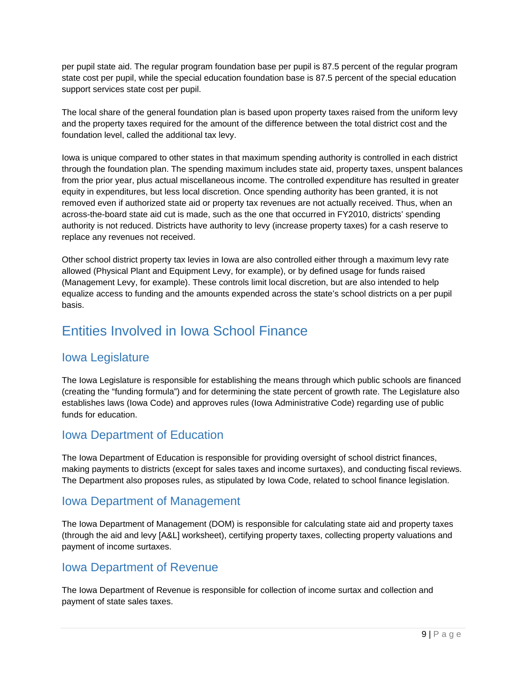per pupil state aid. The regular program foundation base per pupil is 87.5 percent of the regular program state cost per pupil, while the special education foundation base is 87.5 percent of the special education support services state cost per pupil.

The local share of the general foundation plan is based upon property taxes raised from the uniform levy and the property taxes required for the amount of the difference between the total district cost and the foundation level, called the additional tax levy.

Iowa is unique compared to other states in that maximum spending authority is controlled in each district through the foundation plan. The spending maximum includes state aid, property taxes, unspent balances from the prior year, plus actual miscellaneous income. The controlled expenditure has resulted in greater equity in expenditures, but less local discretion. Once spending authority has been granted, it is not removed even if authorized state aid or property tax revenues are not actually received. Thus, when an across-the-board state aid cut is made, such as the one that occurred in FY2010, districts' spending authority is not reduced. Districts have authority to levy (increase property taxes) for a cash reserve to replace any revenues not received.

Other school district property tax levies in Iowa are also controlled either through a maximum levy rate allowed (Physical Plant and Equipment Levy, for example), or by defined usage for funds raised (Management Levy, for example). These controls limit local discretion, but are also intended to help equalize access to funding and the amounts expended across the state's school districts on a per pupil basis.

# Entities Involved in Iowa School Finance

# Iowa Legislature

funds for education. The Iowa Legislature is responsible for establishing the means through which public schools are financed (creating the "funding formula") and for determining the state percent of growth rate. The Legislature also establishes laws (Iowa Code) and approves rules (Iowa Administrative Code) regarding use of public

# **Iowa Department of Education.**

The Iowa Department of Education is responsible for providing oversight of school district finances, making payments to districts (except for sales taxes and income surtaxes), and conducting fiscal reviews. The Department also proposes rules, as stipulated by Iowa Code, related to school finance legislation.

# Iowa Department of Management

The Iowa Department of Management (DOM) is responsible for calculating state aid and property taxes (through the aid and levy [A&L] worksheet), certifying property taxes, collecting property valuations and payment of income surtaxes.

# Iowa Department of Revenue

The Iowa Department of Revenue is responsible for collection of income surtax and collection and payment of state sales taxes.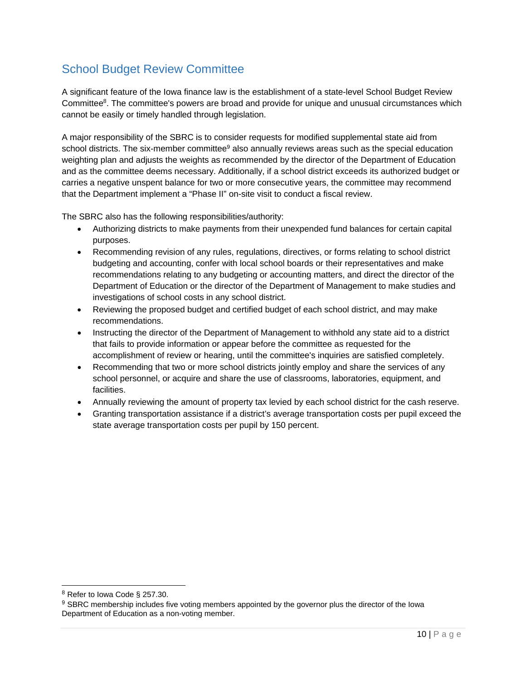# School Budget Review Committee

A significant feature of the Iowa finance law is the establishment of a state-level School Budget Review Committee<sup>8</sup>. The committee's powers are broad and provide for unique and unusual circumstances which cannot be easily or timely handled through legislation.

A major responsibility of the SBRC is to consider requests for modified supplemental state aid from school districts. The six-member committee<sup>9</sup> also annually reviews areas such as the special education weighting plan and adjusts the weights as recommended by the director of the Department of Education and as the committee deems necessary. Additionally, if a school district exceeds its authorized budget or carries a negative unspent balance for two or more consecutive years, the committee may recommend that the Department implement a "Phase II" on-site visit to conduct a fiscal review.

The SBRC also has the following responsibilities/authority:

- Authorizing districts to make payments from their unexpended fund balances for certain capital purposes.
- Recommending revision of any rules, regulations, directives, or forms relating to school district budgeting and accounting, confer with local school boards or their representatives and make recommendations relating to any budgeting or accounting matters, and direct the director of the Department of Education or the director of the Department of Management to make studies and investigations of school costs in any school district.
- Reviewing the proposed budget and certified budget of each school district, and may make recommendations.
- Instructing the director of the Department of Management to withhold any state aid to a district that fails to provide information or appear before the committee as requested for the accomplishment of review or hearing, until the committee's inquiries are satisfied completely.
- Recommending that two or more school districts jointly employ and share the services of any school personnel, or acquire and share the use of classrooms, laboratories, equipment, and facilities.
- Annually reviewing the amount of property tax levied by each school district for the cash reserve.
- Granting transportation assistance if a district's average transportation costs per pupil exceed the state average transportation costs per pupil by 150 percent.

l

 $8$  Refer to Iowa Code § 257.30.

<sup>&</sup>lt;sup>9</sup> SBRC membership includes five voting members appointed by the governor plus the director of the Iowa Department of Education as a non-voting member.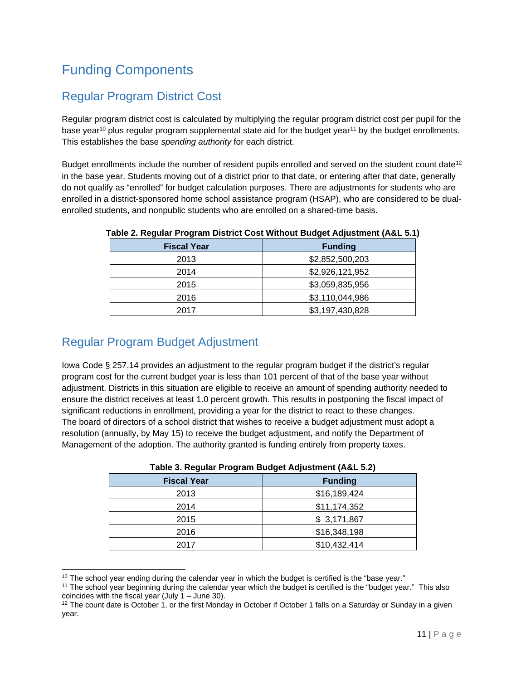# Funding Components

# Regular Program District Cost

Regular program district cost is calculated by multiplying the regular program district cost per pupil for the base year<sup>10</sup> plus regular program supplemental state aid for the budget year<sup>11</sup> by the budget enrollments. This establishes the base *spending authority* for each district.

Budget enrollments include the number of resident pupils enrolled and served on the student count date<sup>12</sup> in the base year. Students moving out of a district prior to that date, or entering after that date, generally do not qualify as "enrolled" for budget calculation purposes. There are adjustments for students who are enrolled in a district-sponsored home school assistance program (HSAP), who are considered to be dualenrolled students, and nonpublic students who are enrolled on a shared-time basis.

| <b>Fiscal Year</b> | <b>Funding</b>  |
|--------------------|-----------------|
| 2013               | \$2,852,500,203 |
| 2014               | \$2,926,121,952 |
| 2015               | \$3,059,835,956 |
| 2016               | \$3,110,044,986 |
| 2017               | \$3,197,430,828 |
|                    |                 |

**Table 2. Regular Program District Cost Without Budget Adjustment (A&L 5.1)** 

# Regular Program Budget Adjustment

l

Iowa Code § 257.14 provides an adjustment to the regular program budget if the district's regular program cost for the current budget year is less than 101 percent of that of the base year without adjustment. Districts in this situation are eligible to receive an amount of spending authority needed to ensure the district receives at least 1.0 percent growth. This results in postponing the fiscal impact of significant reductions in enrollment, providing a year for the district to react to these changes. The board of directors of a school district that wishes to receive a budget adjustment must adopt a resolution (annually, by May 15) to receive the budget adjustment, and notify the Department of Management of the adoption. The authority granted is funding entirely from property taxes.

| Table 5. Regular Frogram Budget Aujustment (A&L 3.2) |                |  |
|------------------------------------------------------|----------------|--|
| <b>Fiscal Year</b>                                   | <b>Funding</b> |  |
| 2013                                                 | \$16,189,424   |  |
| 2014                                                 | \$11,174,352   |  |
| 2015                                                 | \$3,171,867    |  |
| 2016                                                 | \$16,348,198   |  |
| 2017                                                 | \$10,432,414   |  |
|                                                      |                |  |

|  | Table 3. Regular Program Budget Adjustment (A&L 5.2) |
|--|------------------------------------------------------|
|--|------------------------------------------------------|

 $10$  The school year ending during the calendar year in which the budget is certified is the "base year."

<sup>&</sup>lt;sup>11</sup> The school year beginning during the calendar year which the budget is certified is the "budget year." This also coincides with the fiscal year (July  $1 -$  June 30).

 $12$  The count date is October 1, or the first Monday in October if October 1 falls on a Saturday or Sunday in a given year.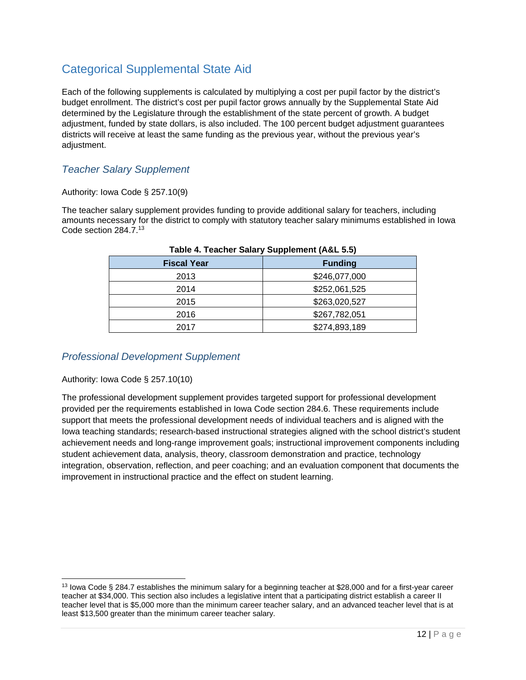# Categorical Supplemental State Aid

Each of the following supplements is calculated by multiplying a cost per pupil factor by the district's budget enrollment. The district's cost per pupil factor grows annually by the Supplemental State Aid determined by the Legislature through the establishment of the state percent of growth. A budget adjustment, funded by state dollars, is also included. The 100 percent budget adjustment guarantees districts will receive at least the same funding as the previous year, without the previous year's adjustment.

# *Teacher Salary Supplement*

#### Authority: Iowa Code § 257.10(9)

The teacher salary supplement provides funding to provide additional salary for teachers, including amounts necessary for the district to comply with statutory teacher salary minimums established in Iowa Code section 284.7.13

| $\frac{1}{2}$      |                |  |
|--------------------|----------------|--|
| <b>Fiscal Year</b> | <b>Funding</b> |  |
| 2013               | \$246,077,000  |  |
| 2014               | \$252,061,525  |  |
| 2015               | \$263,020,527  |  |
| 2016               | \$267,782,051  |  |
| 2017               | \$274,893,189  |  |

#### **Table 4. Teacher Salary Supplement (A&L 5.5)**

#### *Professional Development Supplement*

#### Authority: Iowa Code § 257.10(10)

l

The professional development supplement provides targeted support for professional development provided per the requirements established in Iowa Code section 284.6. These requirements include support that meets the professional development needs of individual teachers and is aligned with the Iowa teaching standards; research-based instructional strategies aligned with the school district's student achievement needs and long-range improvement goals; instructional improvement components including student achievement data, analysis, theory, classroom demonstration and practice, technology integration, observation, reflection, and peer coaching; and an evaluation component that documents the improvement in instructional practice and the effect on student learning.

<sup>&</sup>lt;sup>13</sup> Iowa Code § 284.7 establishes the minimum salary for a beginning teacher at \$28,000 and for a first-year career teacher at \$34,000. This section also includes a legislative intent that a participating district establish a career II teacher level that is \$5,000 more than the minimum career teacher salary, and an advanced teacher level that is at least \$13,500 greater than the minimum career teacher salary.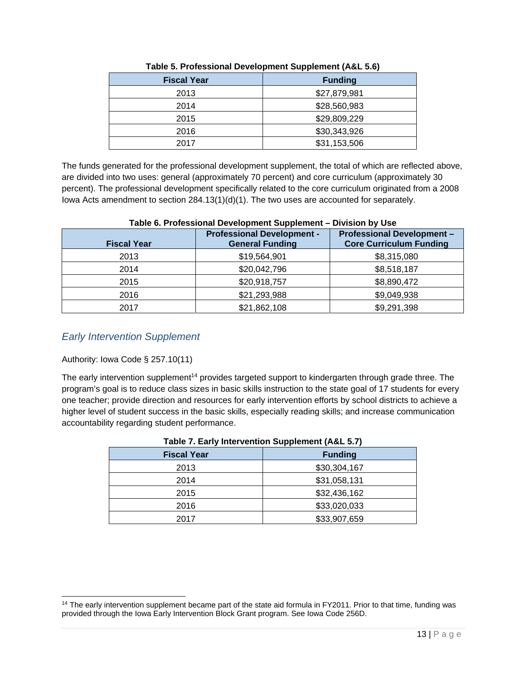| <b>Fiscal Year</b> | <b>Funding</b> |
|--------------------|----------------|
| 2013               | \$27,879,981   |
| 2014               | \$28,560,983   |
| 2015               | \$29,809,229   |
| 2016               | \$30,343,926   |
| 2017               | \$31,153,506   |

| Table 5. Professional Development Supplement (A&L 5.6) |  |  |  |
|--------------------------------------------------------|--|--|--|
|                                                        |  |  |  |

The funds generated for the professional development supplement, the total of which are reflected above, are divided into two uses: general (approximately 70 percent) and core curriculum (approximately 30 percent). The professional development specifically related to the core curriculum originated from a 2008 Iowa Acts amendment to section 284.13(1)(d)(1). The two uses are accounted for separately.

| <b>Fiscal Year</b> | <b>Professional Development -</b><br><b>General Funding</b> | <b>Professional Development -</b><br><b>Core Curriculum Funding</b> |
|--------------------|-------------------------------------------------------------|---------------------------------------------------------------------|
| 2013               | \$19,564,901                                                | \$8,315,080                                                         |
| 2014               | \$20,042,796                                                | \$8,518,187                                                         |
| 2015               | \$20,918,757                                                | \$8,890,472                                                         |
| 2016               | \$21,293,988                                                | \$9,049,938                                                         |
| 2017               | \$21,862,108                                                | \$9,291,398                                                         |

### **Table 6. Professional Development Supplement – Division by Use**

### *Early Intervention Supplement*

#### Authority: Iowa Code § 257.10(11)

l

The early intervention supplement<sup>14</sup> provides targeted support to kindergarten through grade three. The program's goal is to reduce class sizes in basic skills instruction to the state goal of 17 students for every one teacher; provide direction and resources for early intervention efforts by school districts to achieve a higher level of student success in the basic skills, especially reading skills; and increase communication accountability regarding student performance.

| <b>Fiscal Year</b> | <b>Funding</b> |  |
|--------------------|----------------|--|
| 2013               | \$30,304,167   |  |
| 2014               | \$31,058,131   |  |
| 2015               | \$32,436,162   |  |
| 2016               | \$33,020,033   |  |
| 2017               | \$33,907,659   |  |

#### **Table 7. Early Intervention Supplement (A&L 5.7)**

<sup>&</sup>lt;sup>14</sup> The early intervention supplement became part of the state aid formula in FY2011. Prior to that time, funding was provided through the Iowa Early Intervention Block Grant program. See Iowa Code 256D.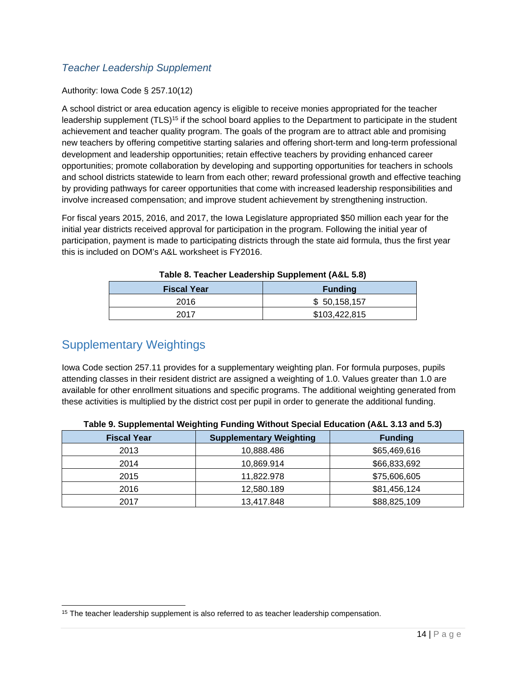# *Teacher Leadership Supplement*

#### Authority: Iowa Code § 257.10(12)

A school district or area education agency is eligible to receive monies appropriated for the teacher leadership supplement (TLS)<sup>15</sup> if the school board applies to the Department to participate in the student achievement and teacher quality program. The goals of the program are to attract able and promising new teachers by offering competitive starting salaries and offering short-term and long-term professional development and leadership opportunities; retain effective teachers by providing enhanced career opportunities; promote collaboration by developing and supporting opportunities for teachers in schools and school districts statewide to learn from each other; reward professional growth and effective teaching by providing pathways for career opportunities that come with increased leadership responsibilities and involve increased compensation; and improve student achievement by strengthening instruction.

For fiscal years 2015, 2016, and 2017, the Iowa Legislature appropriated \$50 million each year for the initial year districts received approval for participation in the program. Following the initial year of participation, payment is made to participating districts through the state aid formula, thus the first year this is included on DOM's A&L worksheet is FY2016.

| Table 6. Teacher Leaguer Ship Supplement (A&L 3.0) |                |  |
|----------------------------------------------------|----------------|--|
| <b>Fiscal Year</b>                                 | <b>Funding</b> |  |
| 2016                                               | \$ 50,158,157  |  |
| 2017                                               | \$103,422,815  |  |

| Table 8. Teacher Leadership Supplement (A&L 5.8) |
|--------------------------------------------------|
|--------------------------------------------------|

# Supplementary Weightings

Iowa Code section 257.11 provides for a supplementary weighting plan. For formula purposes, pupils attending classes in their resident district are assigned a weighting of 1.0. Values greater than 1.0 are available for other enrollment situations and specific programs. The additional weighting generated from these activities is multiplied by the district cost per pupil in order to generate the additional funding.

| <b>Fiscal Year</b> | <b>Supplementary Weighting</b> | <b>Funding</b> |
|--------------------|--------------------------------|----------------|
| 2013               | 10,888.486                     | \$65,469,616   |
| 2014               | 10,869.914                     | \$66,833,692   |
| 2015               | 11.822.978                     | \$75,606,605   |
| 2016               | 12,580.189                     | \$81,456,124   |
| 2017               | 13,417.848                     | \$88,825,109   |

|  |  |  | Table 9. Supplemental Weighting Funding Without Special Education (A&L 3.13 and 5.3) |  |
|--|--|--|--------------------------------------------------------------------------------------|--|
|  |  |  |                                                                                      |  |

l <sup>15</sup> The teacher leadership supplement is also referred to as teacher leadership compensation.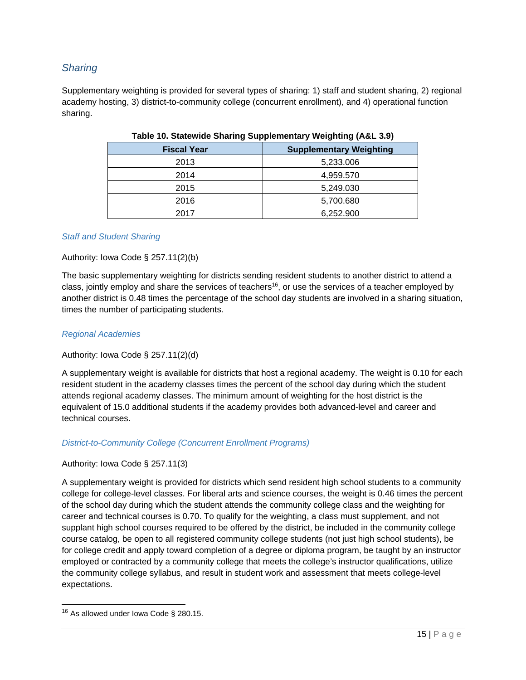### *Sharing*

Supplementary weighting is provided for several types of sharing: 1) staff and student sharing, 2) regional academy hosting, 3) district-to-community college (concurrent enrollment), and 4) operational function sharing.

| <b>Fiscal Year</b> | <b>Supplementary Weighting</b> |
|--------------------|--------------------------------|
| 2013               | 5,233.006                      |
| 2014               | 4,959.570                      |
| 2015               | 5,249.030                      |
| 2016               | 5,700.680                      |
| 2017               | 6,252.900                      |
|                    |                                |

#### **Table 10. Statewide Sharing Supplementary Weighting (A&L 3.9)**

#### *Staff and Student Sharing*

#### Authority: Iowa Code § 257.11(2)(b)

The basic supplementary weighting for districts sending resident students to another district to attend a class, jointly employ and share the services of teachers<sup>16</sup>, or use the services of a teacher employed by another district is 0.48 times the percentage of the school day students are involved in a sharing situation, times the number of participating students.

#### *Regional Academies*

#### Authority: Iowa Code § 257.11(2)(d)

A supplementary weight is available for districts that host a regional academy. The weight is 0.10 for each resident student in the academy classes times the percent of the school day during which the student attends regional academy classes. The minimum amount of weighting for the host district is the equivalent of 15.0 additional students if the academy provides both advanced-level and career and technical courses.

#### *District-to-Community College (Concurrent Enrollment Programs)*

#### Authority: Iowa Code § 257.11(3)

A supplementary weight is provided for districts which send resident high school students to a community college for college-level classes. For liberal arts and science courses, the weight is 0.46 times the percent of the school day during which the student attends the community college class and the weighting for career and technical courses is 0.70. To qualify for the weighting, a class must supplement, and not supplant high school courses required to be offered by the district, be included in the community college course catalog, be open to all registered community college students (not just high school students), be for college credit and apply toward completion of a degree or diploma program, be taught by an instructor employed or contracted by a community college that meets the college's instructor qualifications, utilize the community college syllabus, and result in student work and assessment that meets college-level expectations.

l

 $16$  As allowed under Iowa Code § 280.15.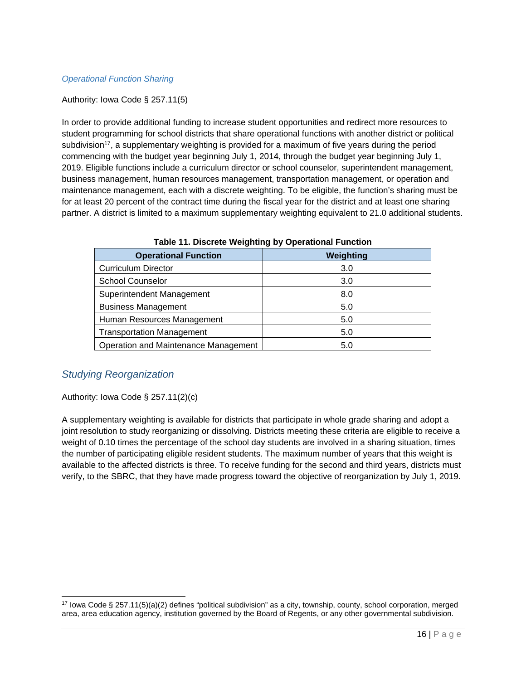#### *Operational Function Sharing*

#### Authority: Iowa Code § 257.11(5)

In order to provide additional funding to increase student opportunities and redirect more resources to student programming for school districts that share operational functions with another district or political subdivision<sup>17</sup>, a supplementary weighting is provided for a maximum of five years during the period commencing with the budget year beginning July 1, 2014, through the budget year beginning July 1, 2019. Eligible functions include a curriculum director or school counselor, superintendent management, business management, human resources management, transportation management, or operation and maintenance management, each with a discrete weighting. To be eligible, the function's sharing must be for at least 20 percent of the contract time during the fiscal year for the district and at least one sharing partner. A district is limited to a maximum supplementary weighting equivalent to 21.0 additional students.

| <b>Operational Function</b>          | Weighting |
|--------------------------------------|-----------|
| <b>Curriculum Director</b>           | 3.0       |
| <b>School Counselor</b>              | 3.0       |
| Superintendent Management            | 8.0       |
| <b>Business Management</b>           | 5.0       |
| Human Resources Management           | 5.0       |
| <b>Transportation Management</b>     | 5.0       |
| Operation and Maintenance Management | 5.0       |

**Table 11. Discrete Weighting by Operational Function** 

#### *Studying Reorganization*

l

#### Authority: Iowa Code § 257.11(2)(c)

A supplementary weighting is available for districts that participate in whole grade sharing and adopt a joint resolution to study reorganizing or dissolving. Districts meeting these criteria are eligible to receive a weight of 0.10 times the percentage of the school day students are involved in a sharing situation, times the number of participating eligible resident students. The maximum number of years that this weight is available to the affected districts is three. To receive funding for the second and third years, districts must verify, to the SBRC, that they have made progress toward the objective of reorganization by July 1, 2019.

<sup>17</sup> Iowa Code § 257.11(5)(a)(2) defines "political subdivision" as a city, township, county, school corporation, merged area, area education agency, institution governed by the Board of Regents, or any other governmental subdivision.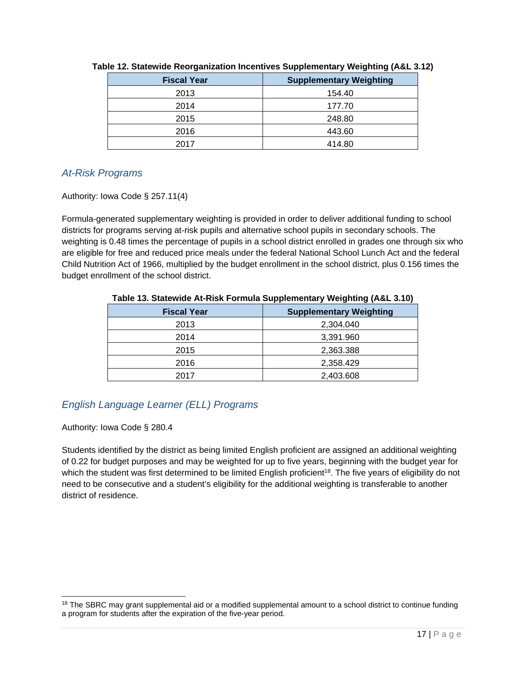| <b>Fiscal Year</b> | <b>Supplementary Weighting</b> |
|--------------------|--------------------------------|
| 2013               | 154.40                         |
| 2014               | 177.70                         |
| 2015               | 248.80                         |
| 2016               | 443.60                         |
| 2017               | 414.80                         |

#### **Table 12. Statewide Reorganization Incentives Supplementary Weighting (A&L 3.12)**

# *At-Risk Programs*

Authority: Iowa Code § 257.11(4)

Formula-generated supplementary weighting is provided in order to deliver additional funding to school districts for programs serving at-risk pupils and alternative school pupils in secondary schools. The weighting is 0.48 times the percentage of pupils in a school district enrolled in grades one through six who are eligible for free and reduced price meals under the federal National School Lunch Act and the federal Child Nutrition Act of 1966, multiplied by the budget enrollment in the school district, plus 0.156 times the budget enrollment of the school district.

| $1800$ TV. Statement for their Fermand Suppremement for spinning from VITV/ |                                |  |
|-----------------------------------------------------------------------------|--------------------------------|--|
| <b>Fiscal Year</b>                                                          | <b>Supplementary Weighting</b> |  |
| 2013                                                                        | 2,304.040                      |  |
| 2014                                                                        | 3,391.960                      |  |
| 2015                                                                        | 2,363.388                      |  |
| 2016                                                                        | 2,358.429                      |  |
| 2017                                                                        | 2,403.608                      |  |

#### **Table 13. Statewide At-Risk Formula Supplementary Weighting (A&L 3.10)**

# *English Language Learner (ELL) Programs*

Authority: Iowa Code § 280.4

l

Students identified by the district as being limited English proficient are assigned an additional weighting of 0.22 for budget purposes and may be weighted for up to five years, beginning with the budget year for which the student was first determined to be limited English proficient<sup>18</sup>. The five years of eligibility do not need to be consecutive and a student's eligibility for the additional weighting is transferable to another district of residence.

<sup>&</sup>lt;sup>18</sup> The SBRC may grant supplemental aid or a modified supplemental amount to a school district to continue funding a program for students after the expiration of the five-year period.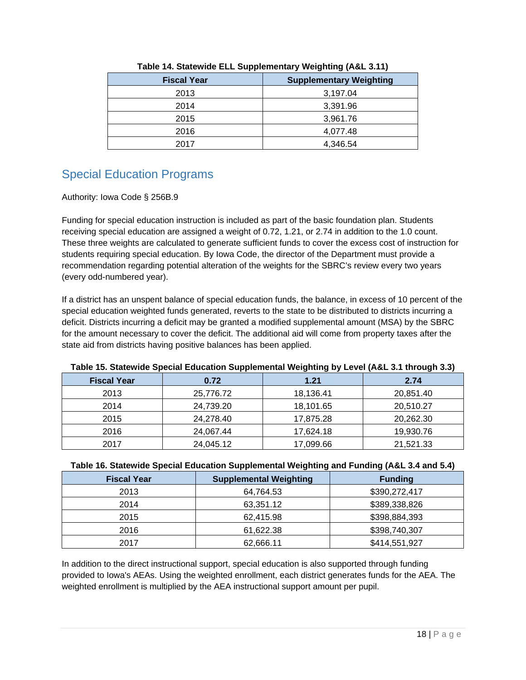| . .                |                                |
|--------------------|--------------------------------|
| <b>Fiscal Year</b> | <b>Supplementary Weighting</b> |
| 2013               | 3,197.04                       |
| 2014               | 3,391.96                       |
| 2015               | 3,961.76                       |
| 2016               | 4,077.48                       |
| 2017               | 4,346.54                       |

#### **Table 14. Statewide ELL Supplementary Weighting (A&L 3.11)**

# Special Education Programs

#### Authority: Iowa Code § 256B.9

Funding for special education instruction is included as part of the basic foundation plan. Students receiving special education are assigned a weight of 0.72, 1.21, or 2.74 in addition to the 1.0 count. These three weights are calculated to generate sufficient funds to cover the excess cost of instruction for students requiring special education. By Iowa Code, the director of the Department must provide a recommendation regarding potential alteration of the weights for the SBRC's review every two years (every odd-numbered year).

If a district has an unspent balance of special education funds, the balance, in excess of 10 percent of the special education weighted funds generated, reverts to the state to be distributed to districts incurring a deficit. Districts incurring a deficit may be granted a modified supplemental amount (MSA) by the SBRC for the amount necessary to cover the deficit. The additional aid will come from property taxes after the state aid from districts having positive balances has been applied.

| <u>. water the component operator components on ppercurrent trefilming wy correct from any angle city</u> |           |           |           |  |
|-----------------------------------------------------------------------------------------------------------|-----------|-----------|-----------|--|
| <b>Fiscal Year</b>                                                                                        | 0.72      | 1.21      | 2.74      |  |
| 2013                                                                                                      | 25,776.72 | 18,136.41 | 20,851.40 |  |
| 2014                                                                                                      | 24,739.20 | 18,101.65 | 20,510.27 |  |
| 2015                                                                                                      | 24,278.40 | 17,875.28 | 20,262.30 |  |
| 2016                                                                                                      | 24,067.44 | 17,624.18 | 19,930.76 |  |
| 2017                                                                                                      | 24,045.12 | 17,099.66 | 21,521.33 |  |

#### **Table 15. Statewide Special Education Supplemental Weighting by Level (A&L 3.1 through 3.3)**

#### **Table 16. Statewide Special Education Supplemental Weighting and Funding (A&L 3.4 and 5.4)**

| <b>Fiscal Year</b> | <b>Supplemental Weighting</b> | <b>Funding</b> |
|--------------------|-------------------------------|----------------|
| 2013               | 64,764.53                     | \$390,272,417  |
| 2014               | 63,351.12                     | \$389,338,826  |
| 2015               | 62,415.98                     | \$398,884,393  |
| 2016               | 61,622.38                     | \$398,740,307  |
| 2017               | 62,666.11                     | \$414,551,927  |

In addition to the direct instructional support, special education is also supported through funding provided to Iowa's AEAs. Using the weighted enrollment, each district generates funds for the AEA. The weighted enrollment is multiplied by the AEA instructional support amount per pupil.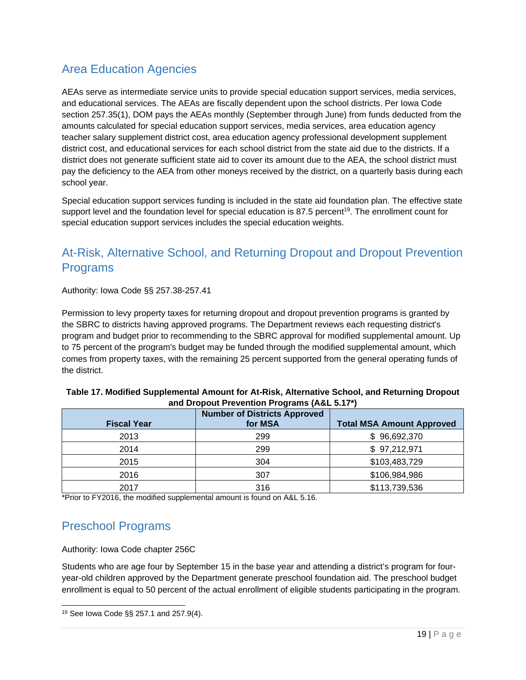# Area Education Agencies

AEAs serve as intermediate service units to provide special education support services, media services, and educational services. The AEAs are fiscally dependent upon the school districts. Per Iowa Code section 257.35(1), DOM pays the AEAs monthly (September through June) from funds deducted from the amounts calculated for special education support services, media services, area education agency teacher salary supplement district cost, area education agency professional development supplement district cost, and educational services for each school district from the state aid due to the districts. If a district does not generate sufficient state aid to cover its amount due to the AEA, the school district must pay the deficiency to the AEA from other moneys received by the district, on a quarterly basis during each school year.

Special education support services funding is included in the state aid foundation plan. The effective state support level and the foundation level for special education is 87.5 percent<sup>19</sup>. The enrollment count for special education support services includes the special education weights.

# At-Risk, Alternative School, and Returning Dropout and Dropout Prevention Programs

Authority: Iowa Code §§ 257.38-257.41

Permission to levy property taxes for returning dropout and dropout prevention programs is granted by the SBRC to districts having approved programs. The Department reviews each requesting district's program and budget prior to recommending to the SBRC approval for modified supplemental amount. Up to 75 percent of the program's budget may be funded through the modified supplemental amount, which comes from property taxes, with the remaining 25 percent supported from the general operating funds of the district.

| Table 17. Modified Supplemental Amount for At-Risk, Alternative School, and Returning Dropout |  |
|-----------------------------------------------------------------------------------------------|--|
| and Dropout Prevention Programs (A&L 5.17*)                                                   |  |

| <b>Fiscal Year</b> | <b>Number of Districts Approved</b><br>for MSA | <b>Total MSA Amount Approved</b> |
|--------------------|------------------------------------------------|----------------------------------|
| 2013               | 299                                            | \$96,692,370                     |
| 2014               | 299                                            | \$97,212,971                     |
| 2015               | 304                                            | \$103,483,729                    |
| 2016               | 307                                            | \$106,984,986                    |
| 2017               | 316                                            | \$113,739,536                    |

\*Prior to FY2016, the modified supplemental amount is found on A&L 5.16.

# Preschool Programs

Authority: Iowa Code chapter 256C

Students who are age four by September 15 in the base year and attending a district's program for fouryear-old children approved by the Department generate preschool foundation aid. The preschool budget enrollment is equal to 50 percent of the actual enrollment of eligible students participating in the program.

l 19 See Iowa Code §§ 257.1 and 257.9(4).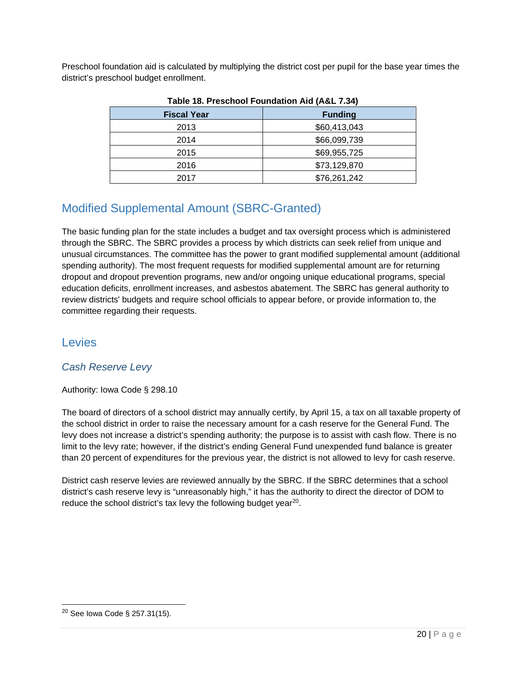Preschool foundation aid is calculated by multiplying the district cost per pupil for the base year times the district's preschool budget enrollment.

| 180510011001100110010101001000 |                |
|--------------------------------|----------------|
| <b>Fiscal Year</b>             | <b>Funding</b> |
| 2013                           | \$60,413,043   |
| 2014                           | \$66,099,739   |
| 2015                           | \$69,955,725   |
| 2016                           | \$73,129,870   |
| 2017                           | \$76,261,242   |

**Table 18. Preschool Foundation Aid (A&L 7.34)** 

# Modified Supplemental Amount (SBRC-Granted)

The basic funding plan for the state includes a budget and tax oversight process which is administered through the SBRC. The SBRC provides a process by which districts can seek relief from unique and unusual circumstances. The committee has the power to grant modified supplemental amount (additional spending authority). The most frequent requests for modified supplemental amount are for returning dropout and dropout prevention programs, new and/or ongoing unique educational programs, special education deficits, enrollment increases, and asbestos abatement. The SBRC has general authority to review districts' budgets and require school officials to appear before, or provide information to, the committee regarding their requests.

# **Levies**

# *Cash Reserve Levy*

### Authority: Iowa Code § 298.10

The board of directors of a school district may annually certify, by April 15, a tax on all taxable property of the school district in order to raise the necessary amount for a cash reserve for the General Fund. The levy does not increase a district's spending authority; the purpose is to assist with cash flow. There is no limit to the levy rate; however, if the district's ending General Fund unexpended fund balance is greater than 20 percent of expenditures for the previous year, the district is not allowed to levy for cash reserve.

District cash reserve levies are reviewed annually by the SBRC. If the SBRC determines that a school district's cash reserve levy is "unreasonably high," it has the authority to direct the director of DOM to reduce the school district's tax levy the following budget year<sup>20</sup>.

l

<sup>20</sup> See Iowa Code § 257.31(15).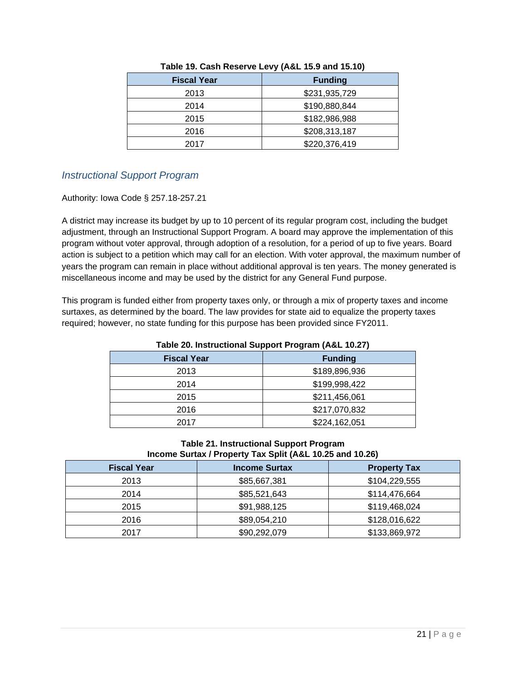| <b>Fiscal Year</b> | <b>Funding</b> |
|--------------------|----------------|
| 2013               | \$231,935,729  |
| 2014               | \$190,880,844  |
| 2015               | \$182,986,988  |
| 2016               | \$208,313,187  |
| 2017               | \$220,376,419  |

#### **Table 19. Cash Reserve Levy (A&L 15.9 and 15.10)**

### *Instructional Support Program*

Authority: Iowa Code § 257.18-257.21

A district may increase its budget by up to 10 percent of its regular program cost, including the budget adjustment, through an Instructional Support Program. A board may approve the implementation of this program without voter approval, through adoption of a resolution, for a period of up to five years. Board action is subject to a petition which may call for an election. With voter approval, the maximum number of years the program can remain in place without additional approval is ten years. The money generated is miscellaneous income and may be used by the district for any General Fund purpose.

This program is funded either from property taxes only, or through a mix of property taxes and income surtaxes, as determined by the board. The law provides for state aid to equalize the property taxes required; however, no state funding for this purpose has been provided since FY2011.

| Table 20. Instructional Support Program (A&L 10.27) |                |
|-----------------------------------------------------|----------------|
| <b>Fiscal Year</b>                                  | <b>Funding</b> |
| 2013                                                | \$189,896,936  |
| 2014                                                | \$199,998,422  |
| 2015                                                | \$211,456,061  |
| 2016                                                | \$217,070,832  |
| 2017                                                | \$224,162,051  |
|                                                     |                |

#### **Table 20. Instructional Support Program (A&L 10.27)**

#### **Table 21. Instructional Support Program Income Surtax / Property Tax Split (A&L 10.25 and 10.26)**

| <b>Fiscal Year</b> | <b>Income Surtax</b> | <b>Property Tax</b> |
|--------------------|----------------------|---------------------|
| 2013               | \$85,667,381         | \$104,229,555       |
| 2014               | \$85,521,643         | \$114,476,664       |
| 2015               | \$91,988,125         | \$119,468,024       |
| 2016               | \$89,054,210         | \$128,016,622       |
| 2017               | \$90,292,079         | \$133,869,972       |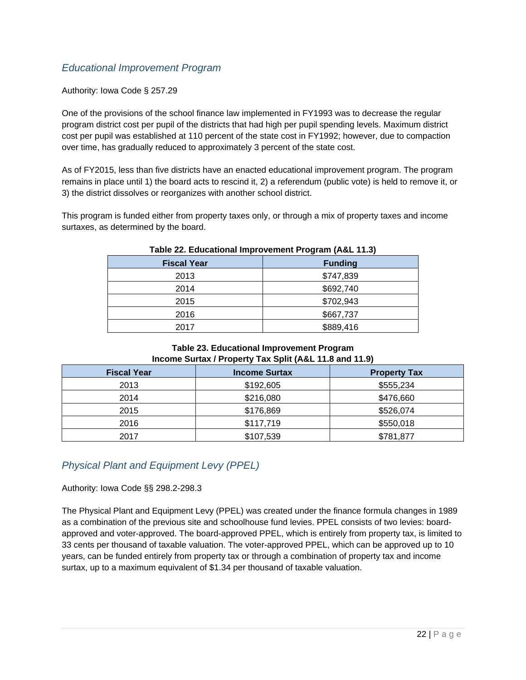### *Educational Improvement Program*

#### Authority: Iowa Code § 257.29

One of the provisions of the school finance law implemented in FY1993 was to decrease the regular program district cost per pupil of the districts that had high per pupil spending levels. Maximum district cost per pupil was established at 110 percent of the state cost in FY1992; however, due to compaction over time, has gradually reduced to approximately 3 percent of the state cost.

As of FY2015, less than five districts have an enacted educational improvement program. The program remains in place until 1) the board acts to rescind it, 2) a referendum (public vote) is held to remove it, or 3) the district dissolves or reorganizes with another school district.

This program is funded either from property taxes only, or through a mix of property taxes and income surtaxes, as determined by the board.

| <b>19916 ZE. EGGGGGOTIGI IMPLOYENTED LOGIGIII (AGE 11.9)</b> |                |  |
|--------------------------------------------------------------|----------------|--|
| <b>Fiscal Year</b>                                           | <b>Funding</b> |  |
| 2013                                                         | \$747,839      |  |
| 2014                                                         | \$692,740      |  |
| 2015                                                         | \$702,943      |  |
| 2016                                                         | \$667,737      |  |
| 2017                                                         | \$889,416      |  |

#### **Table 22. Educational Improvement Program (A&L 11.3)**

#### **Table 23. Educational Improvement Program Income Surtax / Property Tax Split (A&L 11.8 and 11.9)**

| <b>Fiscal Year</b> | <b>Income Surtax</b> | <b>Property Tax</b> |
|--------------------|----------------------|---------------------|
| 2013               | \$192,605            | \$555,234           |
| 2014               | \$216,080            | \$476,660           |
| 2015               | \$176,869            | \$526,074           |
| 2016               | \$117,719            | \$550,018           |
| 2017               | \$107,539            | \$781,877           |

# *Physical Plant and Equipment Levy (PPEL)*

#### Authority: Iowa Code §§ 298.2-298.3

The Physical Plant and Equipment Levy (PPEL) was created under the finance formula changes in 1989 as a combination of the previous site and schoolhouse fund levies. PPEL consists of two levies: boardapproved and voter-approved. The board-approved PPEL, which is entirely from property tax, is limited to 33 cents per thousand of taxable valuation. The voter-approved PPEL, which can be approved up to 10 years, can be funded entirely from property tax or through a combination of property tax and income surtax, up to a maximum equivalent of \$1.34 per thousand of taxable valuation.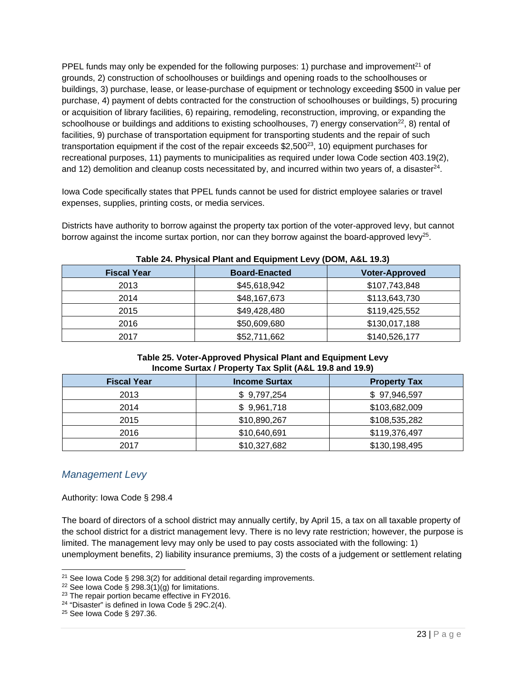PPEL funds may only be expended for the following purposes: 1) purchase and improvement<sup>21</sup> of grounds, 2) construction of schoolhouses or buildings and opening roads to the schoolhouses or buildings, 3) purchase, lease, or lease-purchase of equipment or technology exceeding \$500 in value per purchase, 4) payment of debts contracted for the construction of schoolhouses or buildings, 5) procuring or acquisition of library facilities, 6) repairing, remodeling, reconstruction, improving, or expanding the schoolhouse or buildings and additions to existing schoolhouses, 7) energy conservation<sup>22</sup>, 8) rental of facilities, 9) purchase of transportation equipment for transporting students and the repair of such transportation equipment if the cost of the repair exceeds  $$2,500^{23}$ , 10) equipment purchases for recreational purposes, 11) payments to municipalities as required under Iowa Code section 403.19(2), and 12) demolition and cleanup costs necessitated by, and incurred within two years of, a disaster<sup>24</sup>.

Iowa Code specifically states that PPEL funds cannot be used for district employee salaries or travel expenses, supplies, printing costs, or media services.

Districts have authority to borrow against the property tax portion of the voter-approved levy, but cannot borrow against the income surtax portion, nor can they borrow against the board-approved levy<sup>25</sup>.

| <b>Fiscal Year</b> | <b>Board-Enacted</b> | <b>Voter-Approved</b> |
|--------------------|----------------------|-----------------------|
| 2013               | \$45,618,942         | \$107,743,848         |
| 2014               | \$48,167,673         | \$113,643,730         |
| 2015               | \$49,428,480         | \$119,425,552         |
| 2016               | \$50,609,680         | \$130,017,188         |
| 2017               | \$52,711,662         | \$140,526,177         |

**Table 24. Physical Plant and Equipment Levy (DOM, A&L 19.3)** 

#### **Table 25. Voter-Approved Physical Plant and Equipment Levy Income Surtax / Property Tax Split (A&L 19.8 and 19.9)**

| <b>Fiscal Year</b> | <b>Income Surtax</b> | <b>Property Tax</b> |
|--------------------|----------------------|---------------------|
| 2013               | \$9,797,254          | \$97,946,597        |
| 2014               | \$9,961,718          | \$103,682,009       |
| 2015               | \$10,890,267         | \$108,535,282       |
| 2016               | \$10,640,691         | \$119,376,497       |
| 2017               | \$10,327,682         | \$130,198,495       |

# *Management Levy*

Authority: Iowa Code § 298.4

The board of directors of a school district may annually certify, by April 15, a tax on all taxable property of the school district for a district management levy. There is no levy rate restriction; however, the purpose is limited. The management levy may only be used to pay costs associated with the following: 1) unemployment benefits, 2) liability insurance premiums, 3) the costs of a judgement or settlement relating

l <sup>21</sup> See Iowa Code § 298.3(2) for additional detail regarding improvements.

<sup>&</sup>lt;sup>22</sup> See Iowa Code § 298.3(1)(g) for limitations.

<sup>&</sup>lt;sup>23</sup> The repair portion became effective in FY2016.

<sup>&</sup>lt;sup>24</sup> "Disaster" is defined in Iowa Code § 29C.2(4).

<sup>25</sup> See Iowa Code § 297.36.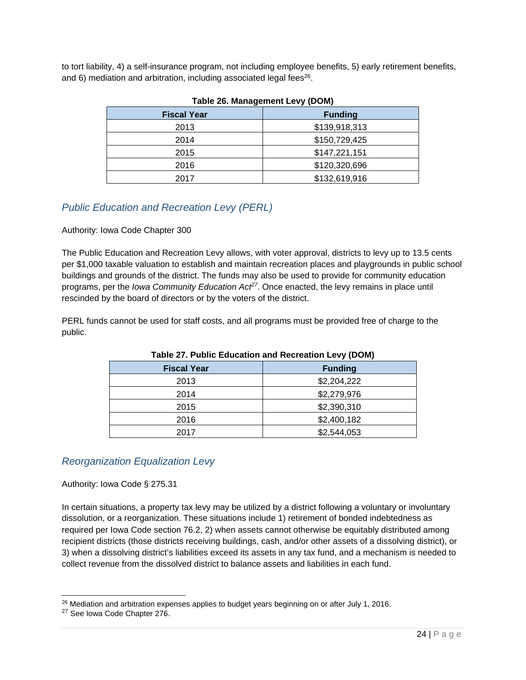to tort liability, 4) a self-insurance program, not including employee benefits, 5) early retirement benefits, and 6) mediation and arbitration, including associated legal fees<sup>26</sup>.

| <b>Fiscal Year</b> | <b>Funding</b> |
|--------------------|----------------|
| 2013               | \$139,918,313  |
| 2014               | \$150,729,425  |
| 2015               | \$147,221,151  |
| 2016               | \$120,320,696  |
| 2017               | \$132,619,916  |

#### **Table 26. Management Levy (DOM)**

# *Public Education and Recreation Levy (PERL)*

#### Authority: Iowa Code Chapter 300

The Public Education and Recreation Levy allows, with voter approval, districts to levy up to 13.5 cents per \$1,000 taxable valuation to establish and maintain recreation places and playgrounds in public school buildings and grounds of the district. The funds may also be used to provide for community education programs, per the *Iowa Community Education Act27*. Once enacted, the levy remains in place until rescinded by the board of directors or by the voters of the district.

PERL funds cannot be used for staff costs, and all programs must be provided free of charge to the public.

| Table 27. Public Education and Recreation Levy (DOM) |                |
|------------------------------------------------------|----------------|
| <b>Fiscal Year</b>                                   | <b>Funding</b> |
| 2013                                                 | \$2,204,222    |
| 2014                                                 | \$2,279,976    |
| 2015                                                 | \$2,390,310    |
| 2016                                                 | \$2,400,182    |
| 2017                                                 | \$2,544,053    |

#### **Table 27. Public Education and Recreation Levy (DOM)**

### *Reorganization Equalization Levy*

Authority: Iowa Code § 275.31

In certain situations, a property tax levy may be utilized by a district following a voluntary or involuntary dissolution, or a reorganization. These situations include 1) retirement of bonded indebtedness as required per Iowa Code section 76.2, 2) when assets cannot otherwise be equitably distributed among recipient districts (those districts receiving buildings, cash, and/or other assets of a dissolving district), or 3) when a dissolving district's liabilities exceed its assets in any tax fund, and a mechanism is needed to collect revenue from the dissolved district to balance assets and liabilities in each fund.

l

<sup>&</sup>lt;sup>26</sup> Mediation and arbitration expenses applies to budget years beginning on or after July 1, 2016.

<sup>27</sup> See Iowa Code Chapter 276.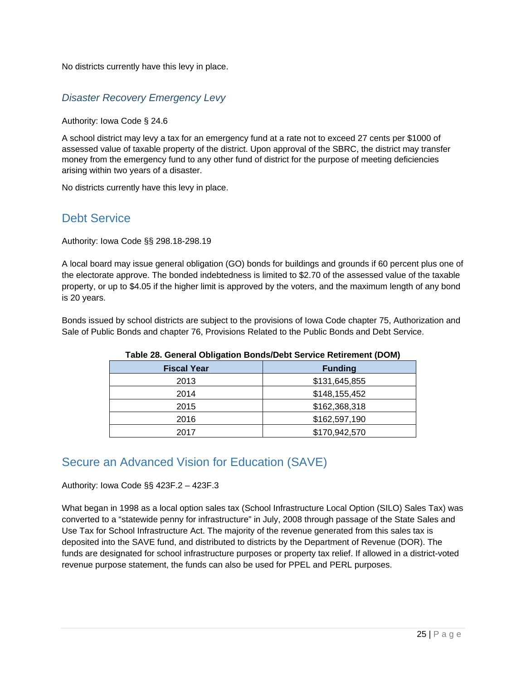No districts currently have this levy in place.

### *Disaster Recovery Emergency Levy*

#### Authority: Iowa Code § 24.6

A school district may levy a tax for an emergency fund at a rate not to exceed 27 cents per \$1000 of assessed value of taxable property of the district. Upon approval of the SBRC, the district may transfer money from the emergency fund to any other fund of district for the purpose of meeting deficiencies arising within two years of a disaster.

No districts currently have this levy in place.

# Debt Service

Authority: Iowa Code §§ 298.18-298.19

A local board may issue general obligation (GO) bonds for buildings and grounds if 60 percent plus one of the electorate approve. The bonded indebtedness is limited to \$2.70 of the assessed value of the taxable property, or up to \$4.05 if the higher limit is approved by the voters, and the maximum length of any bond is 20 years.

Bonds issued by school districts are subject to the provisions of Iowa Code chapter 75, Authorization and Sale of Public Bonds and chapter 76, Provisions Related to the Public Bonds and Debt Service.

| <u>rapic zu. Ochchar Obligation Donus/Debt der vice Retirement (DOM)</u> |                |
|--------------------------------------------------------------------------|----------------|
| <b>Fiscal Year</b>                                                       | <b>Funding</b> |
| 2013                                                                     | \$131,645,855  |
| 2014                                                                     | \$148,155,452  |
| 2015                                                                     | \$162,368,318  |
| 2016                                                                     | \$162,597,190  |
| 2017                                                                     | \$170,942,570  |

### **Table 28. General Obligation Bonds/Debt Service Retirement (DOM)**

# Secure an Advanced Vision for Education (SAVE)

Authority: Iowa Code §§ 423F.2 – 423F.3

What began in 1998 as a local option sales tax (School Infrastructure Local Option (SILO) Sales Tax) was converted to a "statewide penny for infrastructure" in July, 2008 through passage of the State Sales and Use Tax for School Infrastructure Act. The majority of the revenue generated from this sales tax is deposited into the SAVE fund, and distributed to districts by the Department of Revenue (DOR). The funds are designated for school infrastructure purposes or property tax relief. If allowed in a district-voted revenue purpose statement, the funds can also be used for PPEL and PERL purposes.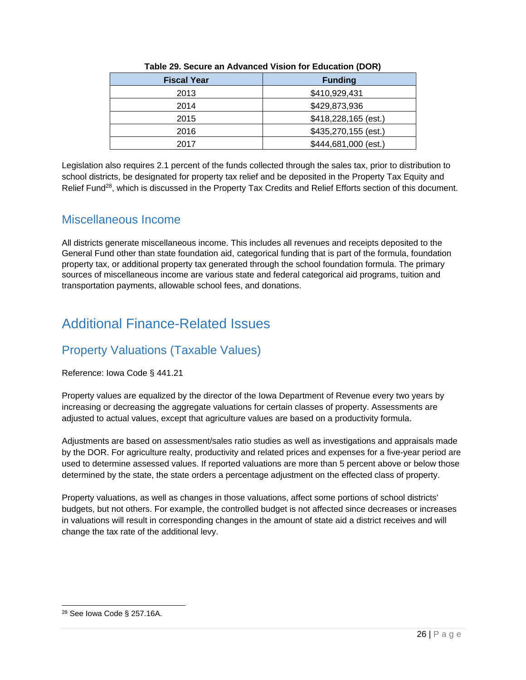| <b>Fiscal Year</b> | <b>Funding</b>       |
|--------------------|----------------------|
| 2013               | \$410,929,431        |
| 2014               | \$429,873,936        |
| 2015               | \$418,228,165 (est.) |
| 2016               | \$435,270,155 (est.) |
| 2017               | \$444,681,000 (est.) |

#### **Table 29. Secure an Advanced Vision for Education (DOR)**

Legislation also requires 2.1 percent of the funds collected through the sales tax, prior to distribution to school districts, be designated for property tax relief and be deposited in the Property Tax Equity and Relief Fund<sup>28</sup>, which is discussed in the Property Tax Credits and Relief Efforts section of this document.

# Miscellaneous Income

 General Fund other than state foundation aid, categorical funding that is part of the formula, foundation All districts generate miscellaneous income. This includes all revenues and receipts deposited to the property tax, or additional property tax generated through the school foundation formula. The primary sources of miscellaneous income are various state and federal categorical aid programs, tuition and transportation payments, allowable school fees, and donations.

# Additional Finance-Related Issues

# Property Valuations (Taxable Values)

#### Reference: Iowa Code § 441.21

Property values are equalized by the director of the Iowa Department of Revenue every two years by increasing or decreasing the aggregate valuations for certain classes of property. Assessments are adjusted to actual values, except that agriculture values are based on a productivity formula.

Adjustments are based on assessment/sales ratio studies as well as investigations and appraisals made by the DOR. For agriculture realty, productivity and related prices and expenses for a five-year period are used to determine assessed values. If reported valuations are more than 5 percent above or below those determined by the state, the state orders a percentage adjustment on the effected class of property.

Property valuations, as well as changes in those valuations, affect some portions of school districts' budgets, but not others. For example, the controlled budget is not affected since decreases or increases in valuations will result in corresponding changes in the amount of state aid a district receives and will change the tax rate of the additional levy.

l <sup>28</sup> See Iowa Code § 257.16A.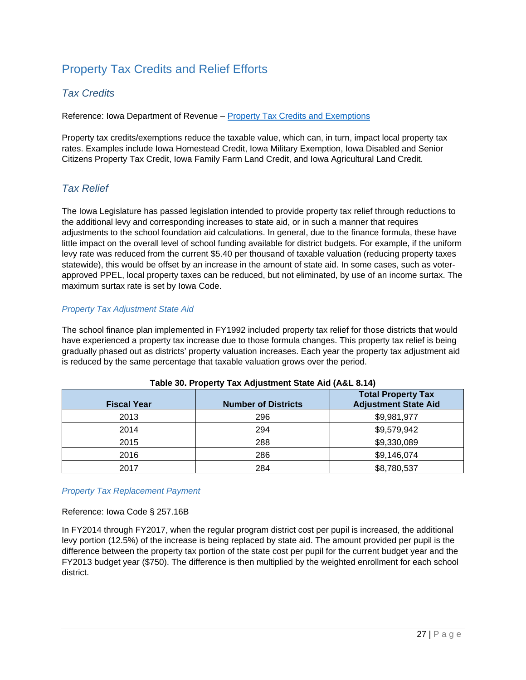# Property Tax Credits and Relief Efforts

### *Tax Credits*

Reference: Iowa Department of Revenue – Property Tax Credits and Exemptions

Property tax credits/exemptions reduce the taxable value, which can, in turn, impact local property tax rates. Examples include Iowa Homestead Credit, Iowa Military Exemption, Iowa Disabled and Senior Citizens Property Tax Credit, Iowa Family Farm Land Credit, and Iowa Agricultural Land Credit.

# *Tax Relief*

The Iowa Legislature has passed legislation intended to provide property tax relief through reductions to the additional levy and corresponding increases to state aid, or in such a manner that requires adjustments to the school foundation aid calculations. In general, due to the finance formula, these have little impact on the overall level of school funding available for district budgets. For example, if the uniform levy rate was reduced from the current \$5.40 per thousand of taxable valuation (reducing property taxes statewide), this would be offset by an increase in the amount of state aid. In some cases, such as voterapproved PPEL, local property taxes can be reduced, but not eliminated, by use of an income surtax. The maximum surtax rate is set by Iowa Code.

#### *Property Tax Adjustment State Aid*

The school finance plan implemented in FY1992 included property tax relief for those districts that would have experienced a property tax increase due to those formula changes. This property tax relief is being gradually phased out as districts' property valuation increases. Each year the property tax adjustment aid is reduced by the same percentage that taxable valuation grows over the period.

| <b>Fiscal Year</b> | <b>Number of Districts</b> | <b>Total Property Tax</b><br><b>Adjustment State Aid</b> |
|--------------------|----------------------------|----------------------------------------------------------|
| 2013               | 296                        | \$9,981,977                                              |
| 2014               | 294                        | \$9,579,942                                              |
| 2015               | 288                        | \$9,330,089                                              |
| 2016               | 286                        | \$9,146,074                                              |
| 2017               | 284                        | \$8,780,537                                              |

| Table 30. Property Tax Adjustment State Aid (A&L 8.14) |  |
|--------------------------------------------------------|--|
|--------------------------------------------------------|--|

#### *Property Tax Replacement Payment*

Reference: Iowa Code § 257.16B

In FY2014 through FY2017, when the regular program district cost per pupil is increased, the additional levy portion (12.5%) of the increase is being replaced by state aid. The amount provided per pupil is the difference between the property tax portion of the state cost per pupil for the current budget year and the FY2013 budget year (\$750). The difference is then multiplied by the weighted enrollment for each school district.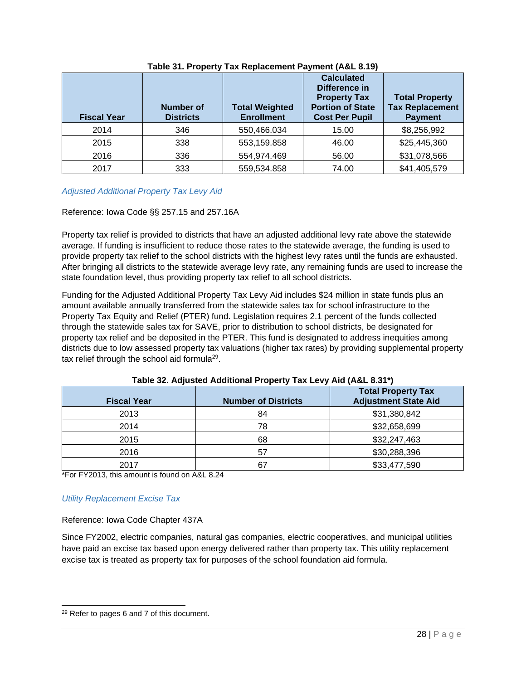| <b>Fiscal Year</b> | Number of<br><b>Districts</b> | <b>Total Weighted</b><br><b>Enrollment</b> | <b>Calculated</b><br>Difference in<br><b>Property Tax</b><br><b>Portion of State</b><br><b>Cost Per Pupil</b> | <b>Total Property</b><br><b>Tax Replacement</b><br><b>Payment</b> |
|--------------------|-------------------------------|--------------------------------------------|---------------------------------------------------------------------------------------------------------------|-------------------------------------------------------------------|
| 2014               | 346                           | 550,466.034                                | 15.00                                                                                                         | \$8,256,992                                                       |
| 2015               | 338                           | 553,159.858                                | 46.00                                                                                                         | \$25,445,360                                                      |
| 2016               | 336                           | 554,974.469                                | 56.00                                                                                                         | \$31,078,566                                                      |
| 2017               | 333                           | 559,534.858                                | 74.00                                                                                                         | \$41,405,579                                                      |

#### **Table 31. Property Tax Replacement Payment (A&L 8.19)**

#### *Adjusted Additional Property Tax Levy Aid*

#### Reference: Iowa Code §§ 257.15 and 257.16A

Property tax relief is provided to districts that have an adjusted additional levy rate above the statewide average. If funding is insufficient to reduce those rates to the statewide average, the funding is used to provide property tax relief to the school districts with the highest levy rates until the funds are exhausted. After bringing all districts to the statewide average levy rate, any remaining funds are used to increase the state foundation level, thus providing property tax relief to all school districts.

Funding for the Adjusted Additional Property Tax Levy Aid includes \$24 million in state funds plus an amount available annually transferred from the statewide sales tax for school infrastructure to the Property Tax Equity and Relief (PTER) fund. Legislation requires 2.1 percent of the funds collected through the statewide sales tax for SAVE, prior to distribution to school districts, be designated for property tax relief and be deposited in the PTER. This fund is designated to address inequities among districts due to low assessed property tax valuations (higher tax rates) by providing supplemental property tax relief through the school aid formula<sup>29</sup>.

| <b>Fiscal Year</b> | <b>Number of Districts</b> | <b>Total Property Tax</b><br><b>Adjustment State Aid</b> |
|--------------------|----------------------------|----------------------------------------------------------|
| 2013               | 84                         | \$31,380,842                                             |
| 2014               | 78                         | \$32,658,699                                             |
| 2015               | 68                         | \$32,247,463                                             |
| 2016               | 57                         | \$30,288,396                                             |
| 2017               |                            | \$33,477,590                                             |

\*For FY2013, this amount is found on A&L 8.24

#### *Utility Replacement Excise Tax*

#### Reference: Iowa Code Chapter 437A

Since FY2002, electric companies, natural gas companies, electric cooperatives, and municipal utilities have paid an excise tax based upon energy delivered rather than property tax. This utility replacement excise tax is treated as property tax for purposes of the school foundation aid formula.

l <sup>29</sup> Refer to pages 6 and 7 of this document.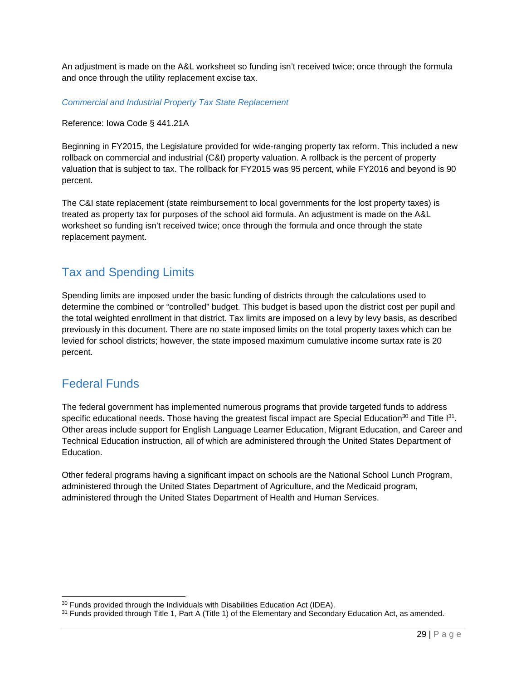An adjustment is made on the A&L worksheet so funding isn't received twice; once through the formula and once through the utility replacement excise tax.

*Commercial and Industrial Property Tax State Replacement* 

Reference: Iowa Code § 441.21A

Beginning in FY2015, the Legislature provided for wide-ranging property tax reform. This included a new rollback on commercial and industrial (C&I) property valuation. A rollback is the percent of property valuation that is subject to tax. The rollback for FY2015 was 95 percent, while FY2016 and beyond is 90 percent.

The C&I state replacement (state reimbursement to local governments for the lost property taxes) is treated as property tax for purposes of the school aid formula. An adjustment is made on the A&L worksheet so funding isn't received twice; once through the formula and once through the state replacement payment.

# Tax and Spending Limits

Spending limits are imposed under the basic funding of districts through the calculations used to determine the combined or "controlled" budget. This budget is based upon the district cost per pupil and the total weighted enrollment in that district. Tax limits are imposed on a levy by levy basis, as described previously in this document. There are no state imposed limits on the total property taxes which can be levied for school districts; however, the state imposed maximum cumulative income surtax rate is 20 percent.

# Federal Funds

l

The federal government has implemented numerous programs that provide targeted funds to address specific educational needs. Those having the greatest fiscal impact are Special Education<sup>30</sup> and Title  $1^{31}$ . Other areas include support for English Language Learner Education, Migrant Education, and Career and Technical Education instruction, all of which are administered through the United States Department of Education.

Other federal programs having a significant impact on schools are the National School Lunch Program, administered through the United States Department of Agriculture, and the Medicaid program, administered through the United States Department of Health and Human Services.

 $30$  Funds provided through the Individuals with Disabilities Education Act (IDEA).<br> $31$  Funds provided through Title 1, Part A (Title 1) of the Elementary and Secondary Education Act, as amended.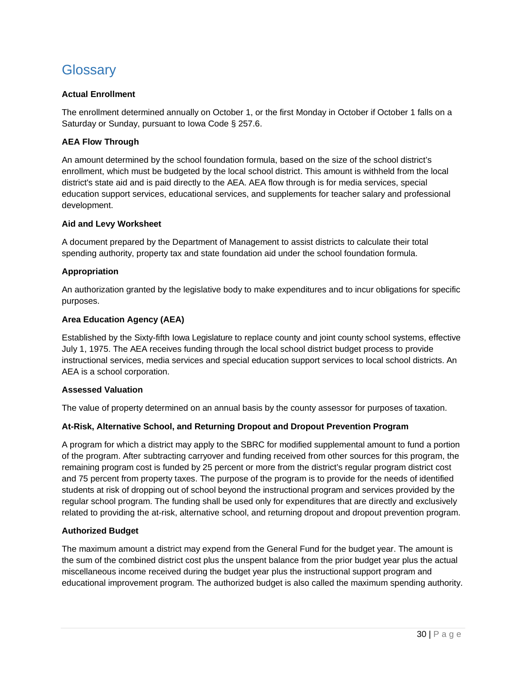# **Glossary**

#### **Actual Enrollment**

 The enrollment determined annually on October 1, or the first Monday in October if October 1 falls on a Saturday or Sunday, pursuant to Iowa Code § 257.6.

#### **AEA Flow Through**

 An amount determined by the school foundation formula, based on the size of the school district's enrollment, which must be budgeted by the local school district. This amount is withheld from the local district's state aid and is paid directly to the AEA. AEA flow through is for media services, special development. education support services, educational services, and supplements for teacher salary and professional

#### **Aid and Levy Worksheet**

 A document prepared by the Department of Management to assist districts to calculate their total spending authority, property tax and state foundation aid under the school foundation formula.

#### **Appropriation**

 An authorization granted by the legislative body to make expenditures and to incur obligations for specific purposes.

#### **Area Education Agency (AEA)**

 July 1, 1975. The AEA receives funding through the local school district budget process to provide instructional services, media services and special education support services to local school districts. An Established by the Sixty-fifth Iowa Legislature to replace county and joint county school systems, effective AEA is a school corporation.

#### **Assessed Valuation**

The value of property determined on an annual basis by the county assessor for purposes of taxation.

#### **At-Risk, Alternative School, and Returning Dropout and Dropout Prevention Program**

 A program for which a district may apply to the SBRC for modified supplemental amount to fund a portion remaining program cost is funded by 25 percent or more from the district's regular program district cost and 75 percent from property taxes. The purpose of the program is to provide for the needs of identified students at risk of dropping out of school beyond the instructional program and services provided by the regular school program. The funding shall be used only for expenditures that are directly and exclusively related to providing the at-risk, alternative school, and returning dropout and dropout prevention program. of the program. After subtracting carryover and funding received from other sources for this program, the

#### **Authorized Budget**

 The maximum amount a district may expend from the General Fund for the budget year. The amount is the sum of the combined district cost plus the unspent balance from the prior budget year plus the actual miscellaneous income received during the budget year plus the instructional support program and educational improvement program. The authorized budget is also called the maximum spending authority.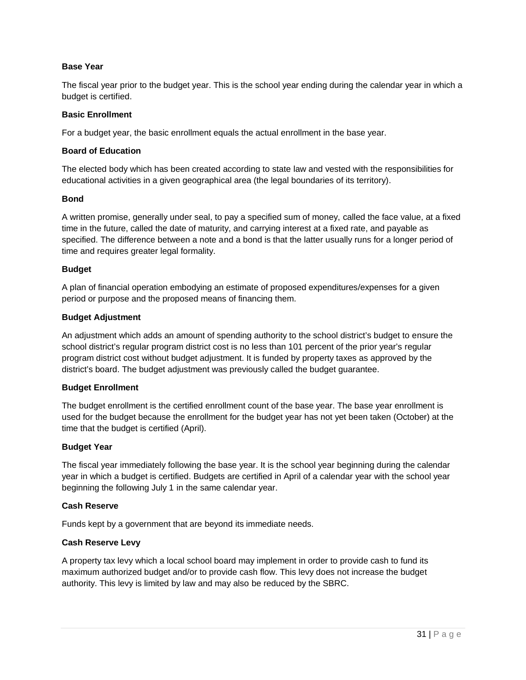#### **Base Year**

 The fiscal year prior to the budget year. This is the school year ending during the calendar year in which a budget is certified.

#### **Basic Enrollment**

For a budget year, the basic enrollment equals the actual enrollment in the base year.

#### **Board of Education**

 educational activities in a given geographical area (the legal boundaries of its territory). The elected body which has been created according to state law and vested with the responsibilities for

#### **Bond**

 A written promise, generally under seal, to pay a specified sum of money, called the face value, at a fixed time in the future, called the date of maturity, and carrying interest at a fixed rate, and payable as specified. The difference between a note and a bond is that the latter usually runs for a longer period of time and requires greater legal formality.

#### **Budget**

 A plan of financial operation embodying an estimate of proposed expenditures/expenses for a given period or purpose and the proposed means of financing them.

#### **Budget Adjustment**

 An adjustment which adds an amount of spending authority to the school district's budget to ensure the school district's regular program district cost is no less than 101 percent of the prior year's regular program district cost without budget adjustment. It is funded by property taxes as approved by the district's board. The budget adjustment was previously called the budget guarantee.

#### **Budget Enrollment**

 The budget enrollment is the certified enrollment count of the base year. The base year enrollment is used for the budget because the enrollment for the budget year has not yet been taken (October) at the time that the budget is certified (April).

#### **Budget Year**

 The fiscal year immediately following the base year. It is the school year beginning during the calendar year in which a budget is certified. Budgets are certified in April of a calendar year with the school year beginning the following July 1 in the same calendar year.

#### **Cash Reserve**

Funds kept by a government that are beyond its immediate needs.

#### **Cash Reserve Levy**

 A property tax levy which a local school board may implement in order to provide cash to fund its maximum authorized budget and/or to provide cash flow. This levy does not increase the budget authority. This levy is limited by law and may also be reduced by the SBRC.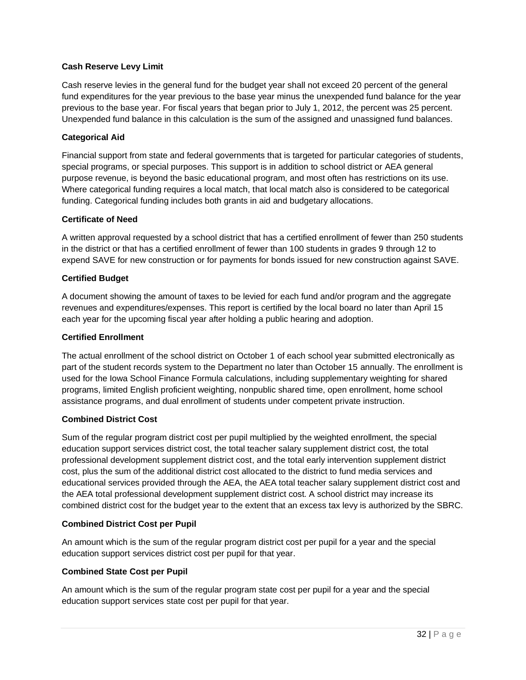#### **Cash Reserve Levy Limit**

 Cash reserve levies in the general fund for the budget year shall not exceed 20 percent of the general previous to the base year. For fiscal years that began prior to July 1, 2012, the percent was 25 percent. Unexpended fund balance in this calculation is the sum of the assigned and unassigned fund balances. fund expenditures for the year previous to the base year minus the unexpended fund balance for the year

#### **Categorical Aid**

 Financial support from state and federal governments that is targeted for particular categories of students, special programs, or special purposes. This support is in addition to school district or AEA general purpose revenue, is beyond the basic educational program, and most often has restrictions on its use. Where categorical funding requires a local match, that local match also is considered to be categorical funding. Categorical funding includes both grants in aid and budgetary allocations.

#### **Certificate of Need**

 A written approval requested by a school district that has a certified enrollment of fewer than 250 students in the district or that has a certified enrollment of fewer than 100 students in grades 9 through 12 to expend SAVE for new construction or for payments for bonds issued for new construction against SAVE.

#### **Certified Budget**

 A document showing the amount of taxes to be levied for each fund and/or program and the aggregate revenues and expenditures/expenses. This report is certified by the local board no later than April 15 each year for the upcoming fiscal year after holding a public hearing and adoption.

#### **Certified Enrollment**

 The actual enrollment of the school district on October 1 of each school year submitted electronically as part of the student records system to the Department no later than October 15 annually. The enrollment is used for the Iowa School Finance Formula calculations, including supplementary weighting for shared programs, limited English proficient weighting, nonpublic shared time, open enrollment, home school assistance programs, and dual enrollment of students under competent private instruction.

#### **Combined District Cost**

 Sum of the regular program district cost per pupil multiplied by the weighted enrollment, the special professional development supplement district cost, and the total early intervention supplement district cost, plus the sum of the additional district cost allocated to the district to fund media services and educational services provided through the AEA, the AEA total teacher salary supplement district cost and the AEA total professional development supplement district cost. A school district may increase its combined district cost for the budget year to the extent that an excess tax levy is authorized by the SBRC. education support services district cost, the total teacher salary supplement district cost, the total

#### **Combined District Cost per Pupil**

 An amount which is the sum of the regular program district cost per pupil for a year and the special education support services district cost per pupil for that year.

#### **Combined State Cost per Pupil**

 An amount which is the sum of the regular program state cost per pupil for a year and the special education support services state cost per pupil for that year.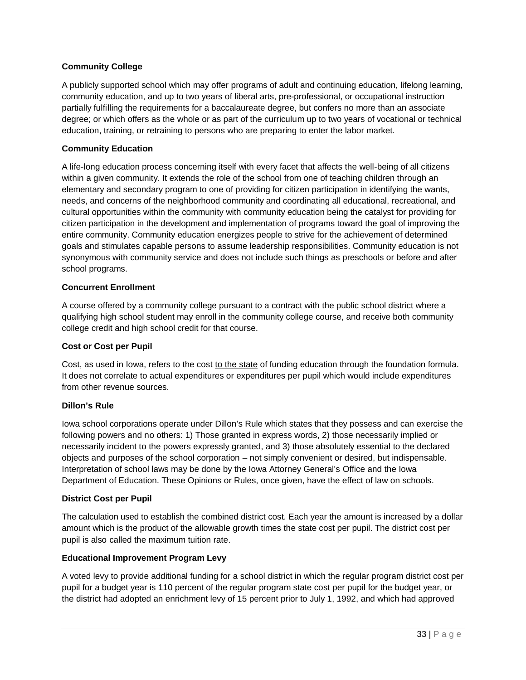#### **Community College**

 A publicly supported school which may offer programs of adult and continuing education, lifelong learning, community education, and up to two years of liberal arts, pre-professional, or occupational instruction partially fulfilling the requirements for a baccalaureate degree, but confers no more than an associate degree; or which offers as the whole or as part of the curriculum up to two years of vocational or technical education, training, or retraining to persons who are preparing to enter the labor market.

#### **Community Education**

 A life-long education process concerning itself with every facet that affects the well-being of all citizens within a given community. It extends the role of the school from one of teaching children through an needs, and concerns of the neighborhood community and coordinating all educational, recreational, and citizen participation in the development and implementation of programs toward the goal of improving the entire community. Community education energizes people to strive for the achievement of determined goals and stimulates capable persons to assume leadership responsibilities. Community education is not synonymous with community service and does not include such things as preschools or before and after elementary and secondary program to one of providing for citizen participation in identifying the wants, cultural opportunities within the community with community education being the catalyst for providing for school programs.

#### **Concurrent Enrollment**

 A course offered by a community college pursuant to a contract with the public school district where a qualifying high school student may enroll in the community college course, and receive both community college credit and high school credit for that course.

#### **Cost or Cost per Pupil**

Cost, as used in Iowa, refers to the cost to the state of funding education through the foundation formula. It does not correlate to actual expenditures or expenditures per pupil which would include expenditures from other revenue sources.

#### **Dillon's Rule**

 Iowa school corporations operate under Dillon's Rule which states that they possess and can exercise the following powers and no others: 1) Those granted in express words, 2) those necessarily implied or necessarily incident to the powers expressly granted, and 3) those absolutely essential to the declared objects and purposes of the school corporation – not simply convenient or desired, but indispensable. Interpretation of school laws may be done by the Iowa Attorney General's Office and the Iowa Department of Education. These Opinions or Rules, once given, have the effect of law on schools.

#### **District Cost per Pupil**

 The calculation used to establish the combined district cost. Each year the amount is increased by a dollar amount which is the product of the allowable growth times the state cost per pupil. The district cost per pupil is also called the maximum tuition rate.

#### **Educational Improvement Program Levy**

 A voted levy to provide additional funding for a school district in which the regular program district cost per pupil for a budget year is 110 percent of the regular program state cost per pupil for the budget year, or the district had adopted an enrichment levy of 15 percent prior to July 1, 1992, and which had approved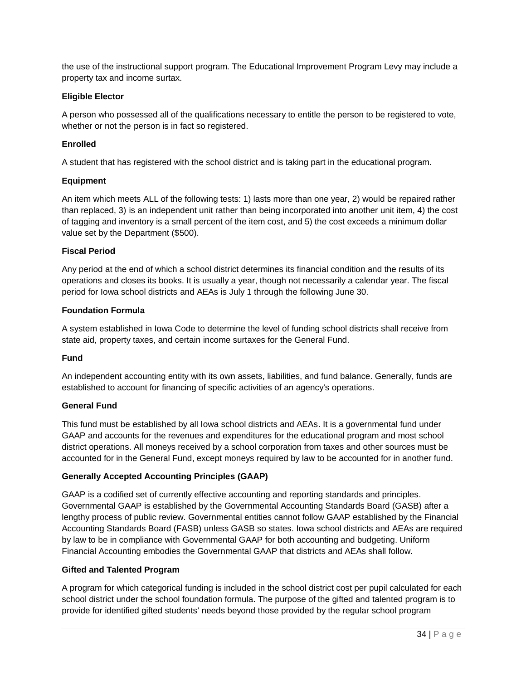the use of the instructional support program. The Educational Improvement Program Levy may include a property tax and income surtax.

#### **Eligible Elector**

 A person who possessed all of the qualifications necessary to entitle the person to be registered to vote, whether or not the person is in fact so registered.

#### **Enrolled**

A student that has registered with the school district and is taking part in the educational program.

#### **Equipment**

 than replaced, 3) is an independent unit rather than being incorporated into another unit item, 4) the cost of tagging and inventory is a small percent of the item cost, and 5) the cost exceeds a minimum dollar value set by the Department (\$500). An item which meets ALL of the following tests: 1) lasts more than one year, 2) would be repaired rather

#### **Fiscal Period**

 Any period at the end of which a school district determines its financial condition and the results of its period for Iowa school districts and AEAs is July 1 through the following June 30. operations and closes its books. It is usually a year, though not necessarily a calendar year. The fiscal

#### **Foundation Formula**

 A system established in Iowa Code to determine the level of funding school districts shall receive from state aid, property taxes, and certain income surtaxes for the General Fund.

#### **Fund**

 An independent accounting entity with its own assets, liabilities, and fund balance. Generally, funds are established to account for financing of specific activities of an agency's operations.

#### **General Fund**

 This fund must be established by all Iowa school districts and AEAs. It is a governmental fund under GAAP and accounts for the revenues and expenditures for the educational program and most school district operations. All moneys received by a school corporation from taxes and other sources must be accounted for in the General Fund, except moneys required by law to be accounted for in another fund.

#### **Generally Accepted Accounting Principles (GAAP)**

 Governmental GAAP is established by the Governmental Accounting Standards Board (GASB) after a lengthy process of public review. Governmental entities cannot follow GAAP established by the Financial Accounting Standards Board (FASB) unless GASB so states. Iowa school districts and AEAs are required by law to be in compliance with Governmental GAAP for both accounting and budgeting. Uniform Financial Accounting embodies the Governmental GAAP that districts and AEAs shall follow. GAAP is a codified set of currently effective accounting and reporting standards and principles.

#### **Gifted and Talented Program**

 A program for which categorical funding is included in the school district cost per pupil calculated for each school district under the school foundation formula. The purpose of the gifted and talented program is to provide for identified gifted students' needs beyond those provided by the regular school program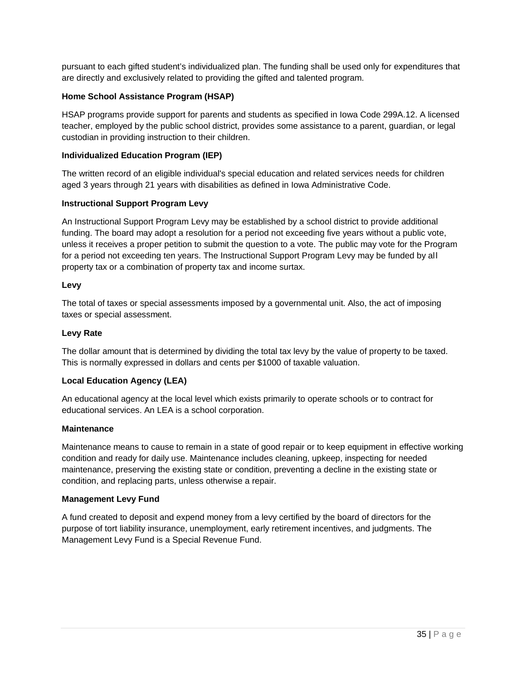pursuant to each gifted student's individualized plan. The funding shall be used only for expenditures that are directly and exclusively related to providing the gifted and talented program.

#### **Home School Assistance Program (HSAP)**

HSAP programs provide support for parents and students as specified in Iowa Code 299A.12. A licensed teacher, employed by the public school district, provides some assistance to a parent, guardian, or legal custodian in providing instruction to their children.

#### **Individualized Education Program (IEP)**

 The written record of an eligible individual's special education and related services needs for children aged 3 years through 21 years with disabilities as defined in Iowa Administrative Code.

#### **Instructional Support Program Levy**

 An Instructional Support Program Levy may be established by a school district to provide additional funding. The board may adopt a resolution for a period not exceeding five years without a public vote, unless it receives a proper petition to submit the question to a vote. The public may vote for the Program for a period not exceeding ten years. The Instructional Support Program Levy may be funded by all property tax or a combination of property tax and income surtax.

#### **Levy**

 The total of taxes or special assessments imposed by a governmental unit. Also, the act of imposing taxes or special assessment.

#### **Levy Rate**

 The dollar amount that is determined by dividing the total tax levy by the value of property to be taxed. This is normally expressed in dollars and cents per \$1000 of taxable valuation.

#### **Local Education Agency (LEA)**

 An educational agency at the local level which exists primarily to operate schools or to contract for educational services. An LEA is a school corporation.

#### **Maintenance**

 Maintenance means to cause to remain in a state of good repair or to keep equipment in effective working condition and ready for daily use. Maintenance includes cleaning, upkeep, inspecting for needed maintenance, preserving the existing state or condition, preventing a decline in the existing state or condition, and replacing parts, unless otherwise a repair.

#### **Management Levy Fund**

 A fund created to deposit and expend money from a levy certified by the board of directors for the purpose of tort liability insurance, unemployment, early retirement incentives, and judgments. The Management Levy Fund is a Special Revenue Fund.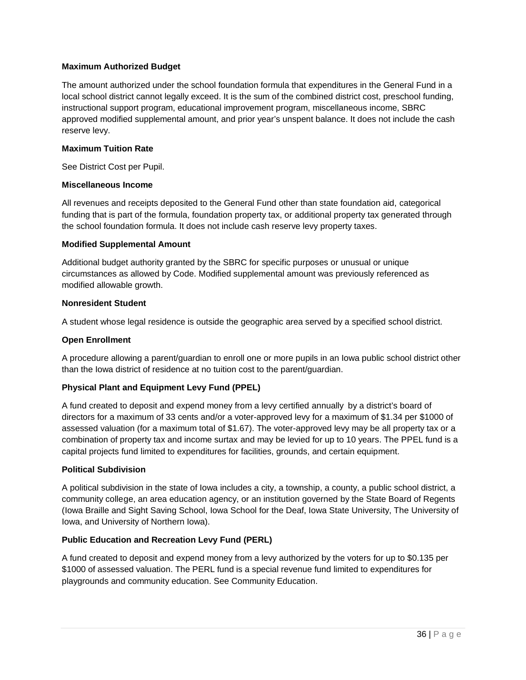#### **Maximum Authorized Budget**

 The amount authorized under the school foundation formula that expenditures in the General Fund in a instructional support program, educational improvement program, miscellaneous income, SBRC approved modified supplemental amount, and prior year's unspent balance. It does not include the cash local school district cannot legally exceed. It is the sum of the combined district cost, preschool funding, reserve levy.

#### **Maximum Tuition Rate**

See District Cost per Pupil.

#### **Miscellaneous Income**

 All revenues and receipts deposited to the General Fund other than state foundation aid, categorical funding that is part of the formula, foundation property tax, or additional property tax generated through the school foundation formula. It does not include cash reserve levy property taxes.

#### **Modified Supplemental Amount**

 Additional budget authority granted by the SBRC for specific purposes or unusual or unique circumstances as allowed by Code. Modified supplemental amount was previously referenced as modified allowable growth.

#### **Nonresident Student**

A student whose legal residence is outside the geographic area served by a specified school district.

#### **Open Enrollment**

 A procedure allowing a parent/guardian to enroll one or more pupils in an Iowa public school district other than the Iowa district of residence at no tuition cost to the parent/guardian.

#### **Physical Plant and Equipment Levy Fund (PPEL)**

 A fund created to deposit and expend money from a levy certified annually by a district's board of directors for a maximum of 33 cents and/or a voter-approved levy for a maximum of \$1.34 per \$1000 of assessed valuation (for a maximum total of \$1.67). The voter-approved levy may be all property tax or a combination of property tax and income surtax and may be levied for up to 10 years. The PPEL fund is a capital projects fund limited to expenditures for facilities, grounds, and certain equipment.

#### **Political Subdivision**

 A political subdivision in the state of Iowa includes a city, a township, a county, a public school district, a community college, an area education agency, or an institution governed by the State Board of Regents (Iowa Braille and Sight Saving School, Iowa School for the Deaf, Iowa State University, The University of Iowa, and University of Northern Iowa).

#### **Public Education and Recreation Levy Fund (PERL)**

 A fund created to deposit and expend money from a levy authorized by the voters for up to \$0.135 per \$1000 of assessed valuation. The PERL fund is a special revenue fund limited to expenditures for playgrounds and community education. See Community Education.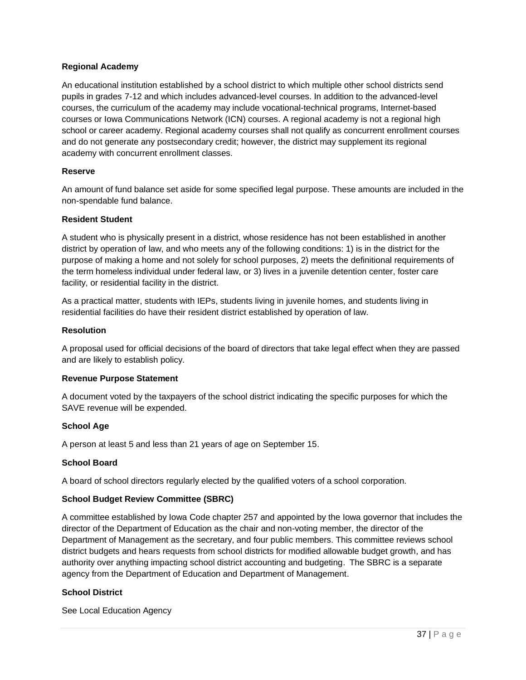#### **Regional Academy**

 An educational institution established by a school district to which multiple other school districts send pupils in grades 7-12 and which includes advanced-level courses. In addition to the advanced-level courses, the curriculum of the academy may include vocational-technical programs, Internet-based courses or Iowa Communications Network (ICN) courses. A regional academy is not a regional high school or career academy. Regional academy courses shall not qualify as concurrent enrollment courses and do not generate any postsecondary credit; however, the district may supplement its regional academy with concurrent enrollment classes.

#### **Reserve**

 An amount of fund balance set aside for some specified legal purpose. These amounts are included in the non-spendable fund balance.

#### **Resident Student**

 A student who is physically present in a district, whose residence has not been established in another district by operation of law, and who meets any of the following conditions: 1) is in the district for the purpose of making a home and not solely for school purposes, 2) meets the definitional requirements of the term homeless individual under federal law, or 3) lives in a juvenile detention center, foster care facility, or residential facility in the district.

 As a practical matter, students with IEPs, students living in juvenile homes, and students living in residential facilities do have their resident district established by operation of law.

#### **Resolution**

 A proposal used for official decisions of the board of directors that take legal effect when they are passed and are likely to establish policy.

#### **Revenue Purpose Statement**

 A document voted by the taxpayers of the school district indicating the specific purposes for which the SAVE revenue will be expended.

#### **School Age**

A person at least 5 and less than 21 years of age on September 15.

#### **School Board**

A board of school directors regularly elected by the qualified voters of a school corporation.

#### **School Budget Review Committee (SBRC)**

 A committee established by Iowa Code chapter 257 and appointed by the Iowa governor that includes the director of the Department of Education as the chair and non-voting member, the director of the district budgets and hears requests from school districts for modified allowable budget growth, and has authority over anything impacting school district accounting and budgeting. The SBRC is a separate agency from the Department of Education and Department of Management. Department of Management as the secretary, and four public members. This committee reviews school

#### **School District**

See Local Education Agency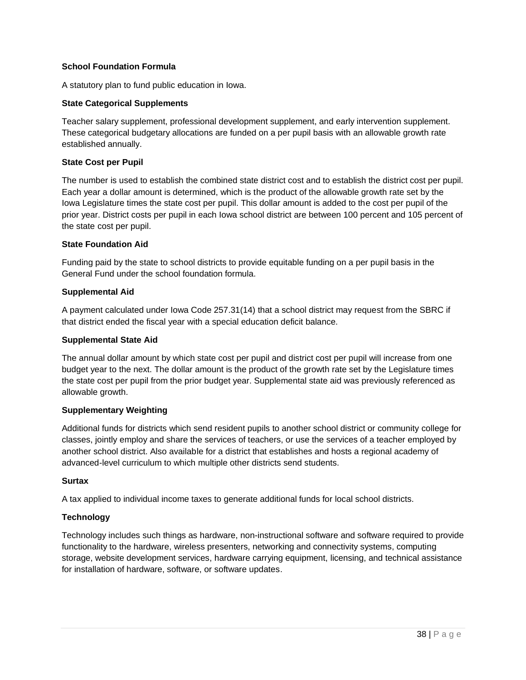#### **School Foundation Formula**

A statutory plan to fund public education in Iowa.

#### **State Categorical Supplements**

Teacher salary supplement, professional development supplement, and early intervention supplement. These categorical budgetary allocations are funded on a per pupil basis with an allowable growth rate established annually.

#### **State Cost per Pupil**

 The number is used to establish the combined state district cost and to establish the district cost per pupil. Each year a dollar amount is determined, which is the product of the allowable growth rate set by the Iowa Legislature times the state cost per pupil. This dollar amount is added to the cost per pupil of the prior year. District costs per pupil in each Iowa school district are between 100 percent and 105 percent of the state cost per pupil.

#### **State Foundation Aid**

 Funding paid by the state to school districts to provide equitable funding on a per pupil basis in the General Fund under the school foundation formula.

#### **Supplemental Aid**

 A payment calculated under Iowa Code 257.31(14) that a school district may request from the SBRC if that district ended the fiscal year with a special education deficit balance.

#### **Supplemental State Aid**

 The annual dollar amount by which state cost per pupil and district cost per pupil will increase from one budget year to the next. The dollar amount is the product of the growth rate set by the Legislature times the state cost per pupil from the prior budget year. Supplemental state aid was previously referenced as allowable growth.

#### **Supplementary Weighting**

 Additional funds for districts which send resident pupils to another school district or community college for advanced-level curriculum to which multiple other districts send students. classes, jointly employ and share the services of teachers, or use the services of a teacher employed by another school district. Also available for a district that establishes and hosts a regional academy of

#### **Surtax**

A tax applied to individual income taxes to generate additional funds for local school districts.

#### **Technology**

 functionality to the hardware, wireless presenters, networking and connectivity systems, computing storage, website development services, hardware carrying equipment, licensing, and technical assistance for installation of hardware, software, or software updates. Technology includes such things as hardware, non-instructional software and software required to provide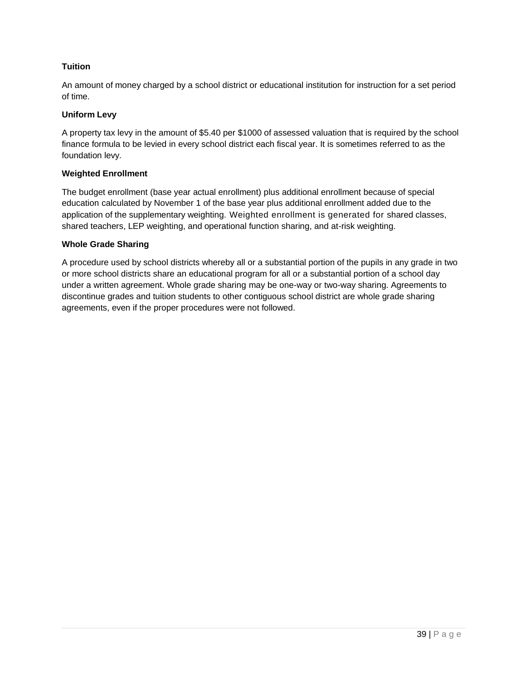#### **Tuition**

 An amount of money charged by a school district or educational institution for instruction for a set period of time.

#### **Uniform Levy**

 A property tax levy in the amount of \$5.40 per \$1000 of assessed valuation that is required by the school finance formula to be levied in every school district each fiscal year. It is sometimes referred to as the foundation levy.

#### **Weighted Enrollment**

 The budget enrollment (base year actual enrollment) plus additional enrollment because of special education calculated by November 1 of the base year plus additional enrollment added due to the application of the supplementary weighting. Weighted enrollment is generated for shared classes, shared teachers, LEP weighting, and operational function sharing, and at-risk weighting.

#### **Whole Grade Sharing**

 A procedure used by school districts whereby all or a substantial portion of the pupils in any grade in two or more school districts share an educational program for all or a substantial portion of a school day under a written agreement. Whole grade sharing may be one-way or two-way sharing. Agreements to discontinue grades and tuition students to other contiguous school district are whole grade sharing agreements, even if the proper procedures were not followed.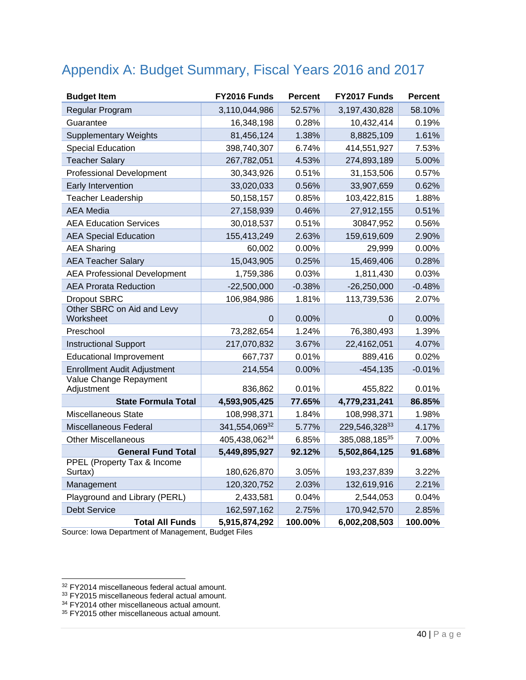# Appendix A: Budget Summary, Fiscal Years 2016 and 2017

| <b>Budget Item</b>                                       | FY2016 Funds  | <b>Percent</b> | FY2017 Funds  | <b>Percent</b> |
|----------------------------------------------------------|---------------|----------------|---------------|----------------|
| Regular Program                                          | 3,110,044,986 | 52.57%         | 3,197,430,828 | 58.10%         |
| Guarantee                                                | 16,348,198    | 0.28%          | 10,432,414    | 0.19%          |
| <b>Supplementary Weights</b>                             | 81,456,124    | 1.38%          | 8,8825,109    | 1.61%          |
| <b>Special Education</b>                                 | 398,740,307   | 6.74%          | 414,551,927   | 7.53%          |
| <b>Teacher Salary</b>                                    | 267,782,051   | 4.53%          | 274,893,189   | 5.00%          |
| <b>Professional Development</b>                          | 30,343,926    | 0.51%          | 31,153,506    | 0.57%          |
| Early Intervention                                       | 33,020,033    | 0.56%          | 33,907,659    | 0.62%          |
| Teacher Leadership                                       | 50,158,157    | 0.85%          | 103,422,815   | 1.88%          |
| <b>AEA</b> Media                                         | 27,158,939    | 0.46%          | 27,912,155    | 0.51%          |
| <b>AEA Education Services</b>                            | 30,018,537    | 0.51%          | 30847,952     | 0.56%          |
| <b>AEA Special Education</b>                             | 155,413,249   | 2.63%          | 159,619,609   | 2.90%          |
| <b>AEA Sharing</b>                                       | 60,002        | 0.00%          | 29,999        | 0.00%          |
| <b>AEA Teacher Salary</b>                                | 15,043,905    | 0.25%          | 15,469,406    | 0.28%          |
| <b>AEA Professional Development</b>                      | 1,759,386     | 0.03%          | 1,811,430     | 0.03%          |
| <b>AEA Prorata Reduction</b>                             | $-22,500,000$ | $-0.38%$       | $-26,250,000$ | $-0.48%$       |
| <b>Dropout SBRC</b>                                      | 106,984,986   | 1.81%          | 113,739,536   | 2.07%          |
| Other SBRC on Aid and Levy<br>Worksheet                  | $\Omega$      | 0.00%          | $\Omega$      | 0.00%          |
| Preschool                                                | 73,282,654    | 1.24%          | 76,380,493    | 1.39%          |
| <b>Instructional Support</b>                             | 217,070,832   | 3.67%          | 22,4162,051   | 4.07%          |
| <b>Educational Improvement</b>                           | 667,737       | 0.01%          | 889,416       | 0.02%          |
| <b>Enrollment Audit Adjustment</b>                       | 214,554       | 0.00%          | $-454, 135$   | $-0.01%$       |
| Value Change Repayment                                   |               |                |               |                |
| Adjustment                                               | 836,862       | 0.01%          | 455,822       | 0.01%          |
| <b>State Formula Total</b>                               | 4,593,905,425 | 77.65%         | 4,779,231,241 | 86.85%         |
| <b>Miscellaneous State</b>                               | 108,998,371   | 1.84%          | 108,998,371   | 1.98%          |
| Miscellaneous Federal                                    | 341,554,06932 | 5.77%          | 229,546,32833 | 4.17%          |
| <b>Other Miscellaneous</b>                               | 405,438,06234 | 6.85%          | 385,088,18535 | 7.00%          |
| <b>General Fund Total</b><br>PPEL (Property Tax & Income | 5,449,895,927 | 92.12%         | 5,502,864,125 | 91.68%         |
| Surtax)                                                  | 180,626,870   | 3.05%          | 193,237,839   | 3.22%          |
| Management                                               | 120,320,752   | 2.03%          | 132,619,916   | 2.21%          |
| Playground and Library (PERL)                            | 2,433,581     | 0.04%          | 2,544,053     | 0.04%          |
| <b>Debt Service</b>                                      | 162,597,162   | 2.75%          | 170,942,570   | 2.85%          |
| <b>Total All Funds</b>                                   | 5,915,874,292 | 100.00%        | 6,002,208,503 | 100.00%        |

Source: Iowa Department of Management, Budget Files Source: Iowa Department of Management, Budget Files $\overline{32}$  FY2014 miscellaneous federal actual amount.

1

<sup>&</sup>lt;sup>33</sup> FY2015 miscellaneous federal actual amount.

<sup>&</sup>lt;sup>34</sup> FY2014 other miscellaneous actual amount.

<sup>35</sup> FY2015 other miscellaneous actual amount.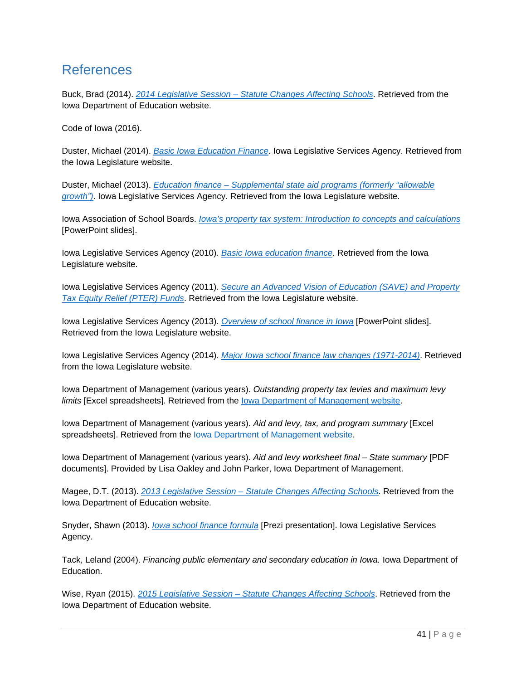# References

Buck, Brad (2014). *2014 Legislative Session – Statute Changes Affecting Schools*. Retrieved from the Iowa Department of Education website.

Code of Iowa (2016).

Duster, Michael (2014). *Basic Iowa Education Finance.* Iowa Legislative Services Agency. Retrieved from the Iowa Legislature website.

Duster, Michael (2013). *Education finance – Supplemental state aid programs (formerly "allowable growth")*. Iowa Legislative Services Agency. Retrieved from the Iowa Legislature website.

Iowa Association of School Boards. *Iowa's property tax system: Introduction to concepts and calculations*  [PowerPoint slides].

Iowa Legislative Services Agency (2010). *Basic Iowa education finance*. Retrieved from the Iowa Legislature website.

Iowa Legislative Services Agency (2011). *Secure an Advanced Vision of Education (SAVE) and Property Tax Equity Relief (PTER) Funds*. Retrieved from the Iowa Legislature website.

Iowa Legislative Services Agency (2013). *Overview of school finance in Iowa* [PowerPoint slides]. Retrieved from the Iowa Legislature website.

Iowa Legislative Services Agency (2014). *Major Iowa school finance law changes (1971-2014)*. Retrieved from the Iowa Legislature website.

Iowa Department of Management (various years). *Outstanding property tax levies and maximum levy limits* [Excel spreadsheets]. Retrieved from the Iowa Department of Management website.

Iowa Department of Management (various years). *Aid and levy, tax, and program summary* [Excel spreadsheets]. Retrieved from the **lowa Department of Management website**.

Iowa Department of Management (various years). *Aid and levy worksheet final – State summary* [PDF documents]. Provided by Lisa Oakley and John Parker, Iowa Department of Management.

Magee, D.T. (2013). *2013 Legislative Session – Statute Changes Affecting Schools*. Retrieved from the Iowa Department of Education website.

Snyder, Shawn (2013). *Iowa school finance formula* [Prezi presentation]. Iowa Legislative Services Agency.

Tack, Leland (2004). *Financing public elementary and secondary education in Iowa.* Iowa Department of Education.

Wise, Ryan (2015). *2015 Legislative Session – Statute Changes Affecting Schools*. Retrieved from the Iowa Department of Education website.